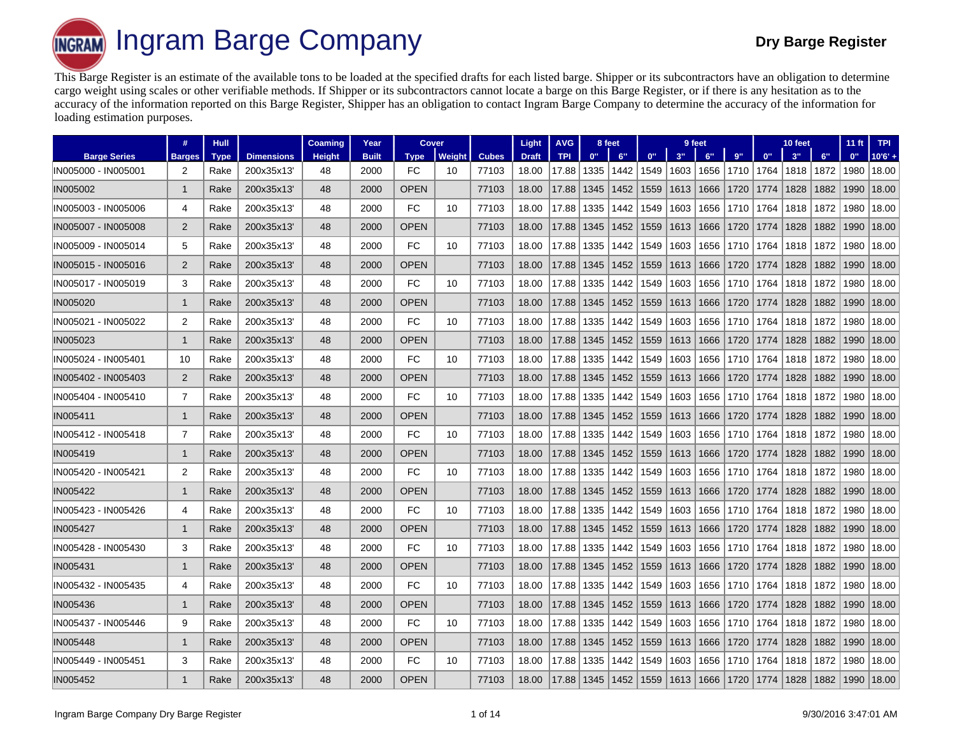**Ingram Barge Company Dry Barge Register INGRAM** 

This Barge Register is an estimate of the available tons to be loaded at the specified drafts for each listed barge. Shipper or its subcontractors have an obligation to determine cargo weight using scales or other verifiable methods. If Shipper or its subcontractors cannot locate a barge on this Barge Register, or if there is any hesitation as to the accuracy of the information reported on this Barge Register, Shipper has an obligation to contact Ingram Barge Company to determine the accuracy of the information for loading estimation purposes.

|                     | #              | <b>Hull</b> |                   | Coaming       | Year         | Cover       |        |              | Light        | <b>AVG</b> |      | 8 feet |      |      | 9 feet |      |      | 10 feet |      | 11 <sub>ft</sub> | <b>TPI</b> |
|---------------------|----------------|-------------|-------------------|---------------|--------------|-------------|--------|--------------|--------------|------------|------|--------|------|------|--------|------|------|---------|------|------------------|------------|
| <b>Barge Series</b> | <b>Barges</b>  | <b>Type</b> | <b>Dimensions</b> | <b>Height</b> | <b>Built</b> | <b>Type</b> | Weight | <b>Cubes</b> | <b>Draft</b> | <b>TPI</b> | 0"   | 6"     | 0"   | 3"   | 6"     | 9"   | 0"   | 3"      | 6"   | 0"               | $10'6' +$  |
| IN005000 - IN005001 | 2              | Rake        | 200x35x13         | 48            | 2000         | <b>FC</b>   | 10     | 77103        | 18.00        | 17.88      | 1335 | 1442   | 1549 | 1603 | 1656   | 1710 | 1764 | 1818    | 1872 | 1980             | 18.00      |
| <b>IN005002</b>     | $\mathbf{1}$   | Rake        | 200x35x13         | 48            | 2000         | <b>OPEN</b> |        | 77103        | 18.00        | 17.88      | 1345 | 1452   | 1559 | 1613 | 1666   | 1720 | 1774 | 1828    | 1882 | 1990             | 18.00      |
| IN005003 - IN005006 | 4              | Rake        | 200x35x13         | 48            | 2000         | <b>FC</b>   | 10     | 77103        | 18.00        | 17.88      | 1335 | 1442   | 1549 | 1603 | 1656   | 1710 | 1764 | 1818    | 1872 | 1980             | 18.00      |
| IN005007 - IN005008 | 2              | Rake        | 200x35x13         | 48            | 2000         | <b>OPEN</b> |        | 77103        | 18.00        | 17.88      | 1345 | 1452   | 1559 | 1613 | 1666   | 1720 | 1774 | 1828    | 1882 | 1990             | 18.00      |
| IN005009 - IN005014 | 5              | Rake        | 200x35x13         | 48            | 2000         | FC          | 10     | 77103        | 18.00        | 17.88      | 1335 | 1442   | 1549 | 1603 | 1656   | 1710 | 1764 | 1818    | 1872 | 1980             | 18.00      |
| IN005015 - IN005016 | 2              | Rake        | 200x35x13         | 48            | 2000         | <b>OPEN</b> |        | 77103        | 18.00        | 17.88      | 1345 | 1452   | 1559 | 1613 | 1666   | 1720 | 1774 | 1828    | 1882 | 1990             | 18.00      |
| IN005017 - IN005019 | 3              | Rake        | 200x35x13         | 48            | 2000         | FC          | 10     | 77103        | 18.00        | 17.88      | 1335 | 1442   | 1549 | 1603 | 1656   | 1710 | 1764 | 1818    | 1872 | 1980             | 18.00      |
| IN005020            | -1             | Rake        | 200x35x13         | 48            | 2000         | <b>OPEN</b> |        | 77103        | 18.00        | 17.88      | 1345 | 1452   | 1559 | 1613 | 1666   | 1720 | 1774 | 1828    | 1882 | 1990             | 18.00      |
| IN005021 - IN005022 | 2              | Rake        | 200x35x13         | 48            | 2000         | <b>FC</b>   | 10     | 77103        | 18.00        | 17.88      | 1335 | 1442   | 1549 | 1603 | 1656   | 1710 | 1764 | 1818    | 1872 | 1980             | 18.00      |
| IN005023            | -1             | Rake        | 200x35x13         | 48            | 2000         | <b>OPEN</b> |        | 77103        | 18.00        | 17.88      | 1345 | 1452   | 1559 | 1613 | 1666   | 1720 | 1774 | 1828    | 1882 | 1990             | 18.00      |
| IN005024 - IN005401 | 10             | Rake        | 200x35x13'        | 48            | 2000         | FC          | 10     | 77103        | 18.00        | 17.88      | 1335 | 1442   | 1549 | 1603 | 1656   | 1710 | 1764 | 1818    | 1872 | 1980             | 18.00      |
| IN005402 - IN005403 | 2              | Rake        | 200x35x13         | 48            | 2000         | <b>OPEN</b> |        | 77103        | 18.00        | 17.88      | 1345 | 1452   | 1559 | 1613 | 1666   | 1720 | 1774 | 1828    | 1882 | 1990             | 18.00      |
| IN005404 - IN005410 | $\overline{7}$ | Rake        | 200x35x13         | 48            | 2000         | <b>FC</b>   | 10     | 77103        | 18.00        | 17.88      | 1335 | 1442   | 1549 | 1603 | 1656   | 1710 | 1764 | 1818    | 1872 | 1980             | 18.00      |
| IN005411            | $\mathbf{1}$   | Rake        | 200x35x13         | 48            | 2000         | <b>OPEN</b> |        | 77103        | 18.00        | 17.88      | 1345 | 1452   | 1559 | 1613 | 1666   | 1720 | 1774 | 1828    | 1882 | 1990             | 18.00      |
| IN005412 - IN005418 | 7              | Rake        | 200x35x13         | 48            | 2000         | FC          | 10     | 77103        | 18.00        | 17.88      | 1335 | 1442   | 1549 | 1603 | 1656   | 1710 | 1764 | 1818    | 1872 | 1980             | 18.00      |
| IN005419            | $\mathbf{1}$   | Rake        | 200x35x13         | 48            | 2000         | <b>OPEN</b> |        | 77103        | 18.00        | 17.88      | 1345 | 1452   | 1559 | 1613 | 1666   | 1720 | 1774 | 1828    | 1882 | 1990             | 18.00      |
| IN005420 - IN005421 | $\overline{2}$ | Rake        | 200x35x13         | 48            | 2000         | <b>FC</b>   | 10     | 77103        | 18.00        | 17.88      | 1335 | 1442   | 1549 | 1603 | 1656   | 1710 | 1764 | 1818    | 1872 | 1980             | 18.00      |
| IN005422            | $\mathbf 1$    | Rake        | 200x35x13         | 48            | 2000         | <b>OPEN</b> |        | 77103        | 18.00        | 17.88      | 1345 | 1452   | 1559 | 1613 | 1666   | 1720 | 1774 | 1828    | 1882 | 1990             | 18.00      |
| IN005423 - IN005426 | 4              | Rake        | 200x35x13         | 48            | 2000         | <b>FC</b>   | 10     | 77103        | 18.00        | 17.88      | 1335 | 1442   | 1549 | 1603 | 1656   | 1710 | 1764 | 1818    | 1872 | 1980             | 18.00      |
| <b>IN005427</b>     | $\mathbf 1$    | Rake        | 200x35x13         | 48            | 2000         | <b>OPEN</b> |        | 77103        | 18.00        | 17.88      | 1345 | 1452   | 1559 | 1613 | 1666   | 1720 | 1774 | 1828    | 1882 | 1990             | 18.00      |
| IN005428 - IN005430 | 3              | Rake        | 200x35x13         | 48            | 2000         | <b>FC</b>   | 10     | 77103        | 18.00        | 17.88      | 1335 | 1442   | 1549 | 1603 | 1656   | 1710 | 1764 | 1818    | 1872 | 1980             | 18.00      |
| IN005431            | -1             | Rake        | 200x35x13         | 48            | 2000         | <b>OPEN</b> |        | 77103        | 18.00        | 17.88      | 1345 | 1452   | 1559 | 1613 | 1666   | 1720 | 1774 | 1828    | 1882 | 1990             | 18.00      |
| IN005432 - IN005435 | 4              | Rake        | 200x35x13         | 48            | 2000         | <b>FC</b>   | 10     | 77103        | 18.00        | 17.88      | 1335 | 1442   | 1549 | 1603 | 1656   | 1710 | 1764 | 1818    | 1872 | 1980             | 18.00      |
| <b>IN005436</b>     | -1             | Rake        | 200x35x13         | 48            | 2000         | <b>OPEN</b> |        | 77103        | 18.00        | 17.88      | 1345 | 1452   | 1559 | 1613 | 1666   | 1720 | 1774 | 1828    | 1882 | 1990             | 18.00      |
| IN005437 - IN005446 | 9              | Rake        | 200x35x13'        | 48            | 2000         | <b>FC</b>   | 10     | 77103        | 18.00        | 17.88      | 1335 | 1442   | 1549 | 1603 | 1656   | 1710 | 1764 | 1818    | 1872 | 1980             | 18.00      |
| <b>IN005448</b>     | -1             | Rake        | 200x35x13         | 48            | 2000         | <b>OPEN</b> |        | 77103        | 18.00        | 17.88      | 1345 | 1452   | 1559 | 1613 | 1666   | 1720 | 1774 | 1828    | 1882 | 1990             | 18.00      |
| IN005449 - IN005451 | 3              | Rake        | 200x35x13         | 48            | 2000         | <b>FC</b>   | 10     | 77103        | 18.00        | 17.88      | 1335 | 1442   | 1549 | 1603 | 1656   | 1710 | 1764 | 1818    | 1872 | 1980             | 18.00      |
| <b>IN005452</b>     | $\mathbf{1}$   | Rake        | 200x35x13         | 48            | 2000         | <b>OPEN</b> |        | 77103        | 18.00        | 17.88      | 1345 | 1452   | 1559 | 1613 | 1666   | 1720 | 1774 | 1828    | 1882 | 1990             | 18.00      |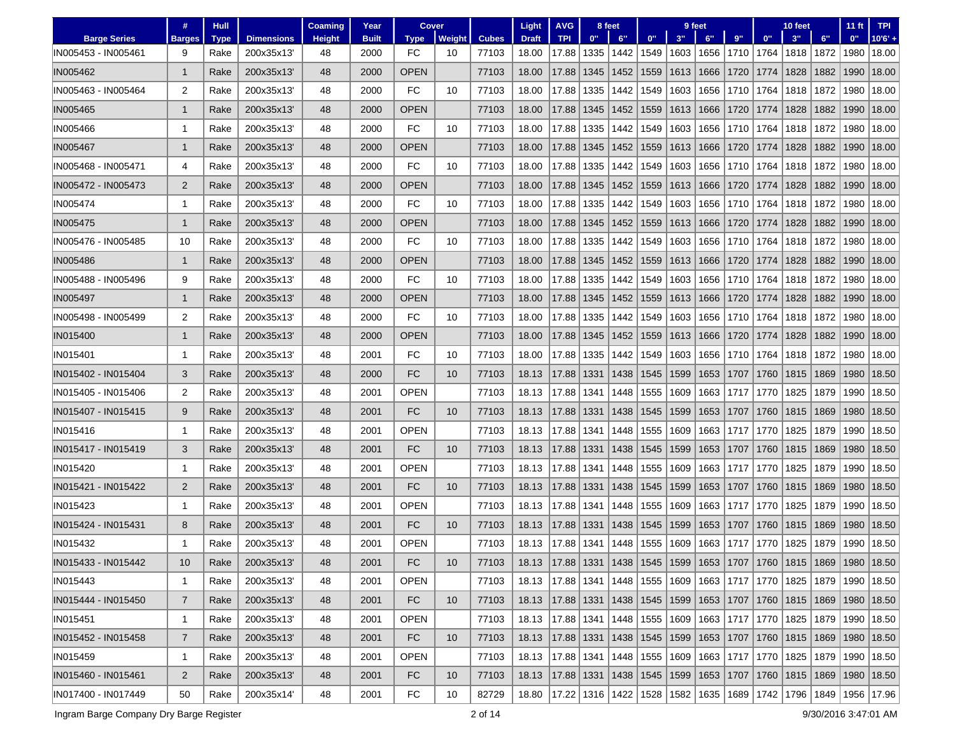|                     | #              | Hull |                   | <b>Coaming</b> | Year         | Cover       |                 |              | Light                              | <b>AVG</b>                                                                                  |      | 8 feet      |      |      | 9 feet                                         |      |                 | 10 feet |      | $11$ ft | <b>TPI</b>                                                                                  |
|---------------------|----------------|------|-------------------|----------------|--------------|-------------|-----------------|--------------|------------------------------------|---------------------------------------------------------------------------------------------|------|-------------|------|------|------------------------------------------------|------|-----------------|---------|------|---------|---------------------------------------------------------------------------------------------|
| <b>Barge Series</b> | <b>Barges</b>  | Type | <b>Dimensions</b> | <b>Height</b>  | <b>Built</b> | <b>Type</b> | Weight          | <b>Cubes</b> | <b>Draft</b>                       | <b>TPI</b>                                                                                  | 0"   | 6"          | 0"   | 3"   | 6"                                             | 9"   | 0 <sup>11</sup> | 3"      | 6"   | 0"      | $10'6' +$                                                                                   |
| IN005453 - IN005461 | 9              | Rake | 200x35x13         | 48             | 2000         | FC          | 10              | 77103        | 18.00                              | 17.88                                                                                       | 1335 | 1442        | 1549 | 1603 | 1656                                           | 1710 | 1764            | 1818    | 1872 | 1980    | 18.00                                                                                       |
| <b>IN005462</b>     | $\mathbf{1}$   | Rake | 200x35x13         | 48             | 2000         | <b>OPEN</b> |                 | 77103        | 18.00                              | 17.88                                                                                       | 1345 | 1452        | 1559 | 1613 | 1666                                           | 1720 | 1774            | 1828    | 1882 | 1990    | 18.00                                                                                       |
| IN005463 - IN005464 | 2              | Rake | 200x35x13         | 48             | 2000         | FC          | 10              | 77103        | 18.00                              | 17.88                                                                                       | 1335 | 1442        | 1549 | 1603 | 1656                                           | 1710 | 1764            | 1818    | 1872 | 1980    | 18.00                                                                                       |
| IN005465            | $\mathbf 1$    | Rake | 200x35x13         | 48             | 2000         | <b>OPEN</b> |                 | 77103        | 18.00                              | 17.88                                                                                       | 1345 | 1452        | 1559 | 1613 | 1666                                           | 1720 | 1774            | 1828    | 1882 | 1990    | 18.00                                                                                       |
| IN005466            | -1             | Rake | 200x35x13         | 48             | 2000         | <b>FC</b>   | 10              | 77103        | 18.00                              | 17.88                                                                                       | 1335 | 1442        | 1549 | 1603 | 1656                                           | 1710 | 1764            | 1818    | 1872 | 1980    | 18.00                                                                                       |
| IN005467            | $\mathbf 1$    | Rake | 200x35x13         | 48             | 2000         | <b>OPEN</b> |                 | 77103        | 18.00                              | 17.88                                                                                       | 1345 | 1452        | 1559 | 1613 | 1666                                           | 1720 | 1774            | 1828    | 1882 | 1990    | 18.00                                                                                       |
| IN005468 - IN005471 | 4              | Rake | 200x35x13         | 48             | 2000         | FC          | 10              | 77103        | 18.00                              | 17.88                                                                                       | 1335 | 1442        | 1549 | 1603 | 1656                                           | 1710 | 1764            | 1818    | 1872 | 1980    | 18.00                                                                                       |
| IN005472 - IN005473 | $\overline{2}$ | Rake | 200x35x13         | 48             | 2000         | <b>OPEN</b> |                 | 77103        | 18.00                              | 17.88                                                                                       | 1345 | 1452        | 1559 | 1613 | 1666                                           | 1720 | 1774            | 1828    | 1882 | 1990    | 18.00                                                                                       |
| IN005474            | $\mathbf{1}$   | Rake | 200x35x13         | 48             | 2000         | FC          | 10              | 77103        | 18.00                              | 17.88                                                                                       | 1335 | 1442        | 1549 | 1603 | 1656                                           | 1710 | 1764            | 1818    | 1872 | 1980    | 18.00                                                                                       |
| <b>IN005475</b>     | 1              | Rake | 200x35x13         | 48             | 2000         | <b>OPEN</b> |                 | 77103        | 18.00                              | 17.88                                                                                       | 1345 | 1452        | 1559 | 1613 | 1666                                           | 1720 | 1774            | 1828    | 1882 | 1990    | 18.00                                                                                       |
| IN005476 - IN005485 | 10             | Rake | 200x35x13         | 48             | 2000         | FC          | 10              | 77103        | 18.00                              | 17.88                                                                                       | 1335 | 1442        | 1549 | 1603 | 1656                                           | 1710 | 1764            | 1818    | 1872 | 1980    | 18.00                                                                                       |
| IN005486            | $\mathbf 1$    | Rake | 200x35x13         | 48             | 2000         | <b>OPEN</b> |                 | 77103        | 18.00                              | 17.88                                                                                       | 1345 | 1452        | 1559 | 1613 | 1666                                           | 1720 | 1774            | 1828    | 1882 | 1990    | 18.00                                                                                       |
| IN005488 - IN005496 | 9              | Rake | 200x35x13         | 48             | 2000         | <b>FC</b>   | 10              | 77103        | 18.00                              | 17.88                                                                                       | 1335 | 1442        | 1549 | 1603 | 1656                                           | 1710 | 1764            | 1818    | 1872 | 1980    | 18.00                                                                                       |
| <b>IN005497</b>     | $\mathbf 1$    | Rake | 200x35x13         | 48             | 2000         | <b>OPEN</b> |                 | 77103        | 18.00                              | 17.88                                                                                       | 1345 | 1452        | 1559 | 1613 | 1666                                           | 1720 | 1774            | 1828    | 1882 | 1990    | 18.00                                                                                       |
| IN005498 - IN005499 | 2              | Rake | 200x35x13         | 48             | 2000         | FC          | 10              | 77103        | 18.00                              | 17.88                                                                                       | 1335 | 1442        | 1549 | 1603 | 1656                                           | 1710 | 1764            | 1818    | 1872 | 1980    | 18.00                                                                                       |
| <b>IN015400</b>     | $\mathbf 1$    | Rake | 200x35x13         | 48             | 2000         | <b>OPEN</b> |                 | 77103        | 18.00                              | 17.88                                                                                       | 1345 | 1452        | 1559 | 1613 | 1666                                           | 1720 | 1774            | 1828    | 1882 | 1990    | 18.00                                                                                       |
| <b>IN015401</b>     | -1             | Rake | 200x35x13         | 48             | 2001         | FC          | 10              | 77103        | 18.00                              | 17.88                                                                                       | 1335 | 1442        | 1549 | 1603 | 1656                                           | 1710 | 1764            | 1818    | 1872 | 1980    | 18.00                                                                                       |
| IN015402 - IN015404 | 3              | Rake | 200x35x13         | 48             | 2000         | <b>FC</b>   | 10              | 77103        | 18.13                              | 17.88                                                                                       | 1331 | 1438        | 1545 | 1599 | 1653                                           | 1707 | 1760            | 1815    | 1869 | 1980    | 18.50                                                                                       |
| IN015405 - IN015406 | 2              | Rake | 200x35x13         | 48             | 2001         | <b>OPEN</b> |                 | 77103        | 18.13                              | 17.88                                                                                       | 1341 | 1448        | 1555 | 1609 | 1663                                           | 1717 | 1770            | 1825    | 1879 | 1990    | 18.50                                                                                       |
| IN015407 - IN015415 | 9              | Rake | 200x35x13         | 48             | 2001         | FC          | 10              | 77103        | 18.13                              | 17.88                                                                                       | 1331 | 1438        | 1545 | 1599 | 1653                                           | 1707 | 1760            | 1815    | 1869 | 1980    | 18.50                                                                                       |
| IN015416            | $\mathbf{1}$   | Rake | 200x35x13         | 48             | 2001         | <b>OPEN</b> |                 | 77103        | 18.13                              | 17.88                                                                                       | 1341 | 1448        | 1555 | 1609 | 1663                                           | 1717 | 1770            | 1825    | 1879 | 1990    | 18.50                                                                                       |
| IN015417 - IN015419 | 3              | Rake | 200x35x13         | 48             | 2001         | <b>FC</b>   | 10              | 77103        | 18.13                              | 17.88                                                                                       | 1331 | 1438        | 1545 | 1599 | 1653                                           | 1707 | 1760            | 1815    | 1869 | 1980    | 18.50                                                                                       |
| IN015420            | -1             | Rake | 200x35x13         | 48             | 2001         | <b>OPEN</b> |                 | 77103        | 18.13                              | 17.88                                                                                       | 1341 | 1448        | 1555 | 1609 | 1663                                           | 1717 | 1770            | 1825    | 1879 | 1990    | 18.50                                                                                       |
| IN015421 - IN015422 | 2              | Rake | 200x35x13         | 48             | 2001         | FC          | 10              | 77103        | 18.13                              | 17.88                                                                                       | 1331 | 1438        | 1545 | 1599 | 1653                                           | 1707 | 1760            | 1815    | 1869 | 1980    | 18.50                                                                                       |
| IN015423            | 1              | Rake | 200x35x13         | 48             | 2001         | <b>OPEN</b> |                 | 77103        | 18.13                              | 17.88                                                                                       | 1341 | 1448        | 1555 | 1609 | 1663                                           | 1717 | 1770            | 1825    | 1879 | 1990    | 18.50                                                                                       |
| IN015424 - IN015431 | 8              | Rake | 200x35x13         | 48             | 2001         | FC          | 10              | 77103        | 18.13                              | 17.88                                                                                       | 1331 | 1438        | 1545 | 1599 | 1653                                           | 1707 | 1760            | 1815    | 1869 | 1980    | 18.50                                                                                       |
| IN015432            | $\mathbf{1}$   | Rake | 200x35x13         | 48             | 2001         | <b>OPEN</b> |                 | 77103        | 18.13                              | 17.88                                                                                       | 1341 | 1448        | 1555 | 1609 | 1663                                           | 1717 | 1770            | 1825    | 1879 | 1990    | 18.50                                                                                       |
| IN015433 - IN015442 | 10             | Rake | 200x35x13         | 48             | 2001         | FC.         | 10 <sup>°</sup> | 77103        |                                    | 18.13   17.88   1331   1438   1545   1599   1653   1707   1760   1815   1869   1980   18.50 |      |             |      |      |                                                |      |                 |         |      |         |                                                                                             |
| IN015443            | 1              | Rake | 200x35x13'        | 48             | 2001         | <b>OPEN</b> |                 | 77103        | 18.13   17.88   1341   1448   1555 |                                                                                             |      |             |      |      |                                                |      |                 |         |      |         | 1609   1663   1717   1770   1825   1879   1990   18.50                                      |
| IN015444 - IN015450 | $\overline{7}$ | Rake | 200x35x13         | 48             | 2001         | FC          | 10              | 77103        | 18.13                              | 17.88 1331                                                                                  |      | 1438   1545 |      |      |                                                |      |                 |         |      |         | 1599   1653   1707   1760   1815   1869   1980   18.50                                      |
| <b>IN015451</b>     | 1              | Rake | 200x35x13'        | 48             | 2001         | <b>OPEN</b> |                 | 77103        | 18.13                              | 17.88 1341                                                                                  |      | 1448   1555 |      |      | 1609   1663   1717   1770   1825   1879   1990 |      |                 |         |      |         | 18.50                                                                                       |
| IN015452 - IN015458 | $\overline{7}$ | Rake | 200x35x13'        | 48             | 2001         | FC          | 10 <sup>°</sup> | 77103        | 18.13   17.88   1331               |                                                                                             |      |             |      |      |                                                |      |                 |         |      |         | 1438   1545   1599   1653   1707   1760   1815   1869   1980   18.50                        |
| IN015459            | 1              | Rake | 200x35x13'        | 48             | 2001         | <b>OPEN</b> |                 | 77103        | 18.13                              | 17.88   1341                                                                                |      | 1448   1555 |      | 1609 |                                                |      |                 |         |      |         | 1663  1717  1770  1825  1879  1990  18.50                                                   |
| IN015460 - IN015461 | $\overline{2}$ | Rake | 200x35x13         | 48             | 2001         | FC          | 10              | 77103        | 18.13   17.88   1331               |                                                                                             |      |             |      |      |                                                |      |                 |         |      |         | 1438   1545   1599   1653   1707   1760   1815   1869   1980   18.50                        |
| IN017400 - IN017449 | 50             | Rake | 200x35x14'        | 48             | 2001         | FC          | 10              | 82729        |                                    |                                                                                             |      |             |      |      |                                                |      |                 |         |      |         | 18.80   17.22   1316   1422   1528   1582   1635   1689   1742   1796   1849   1956   17.96 |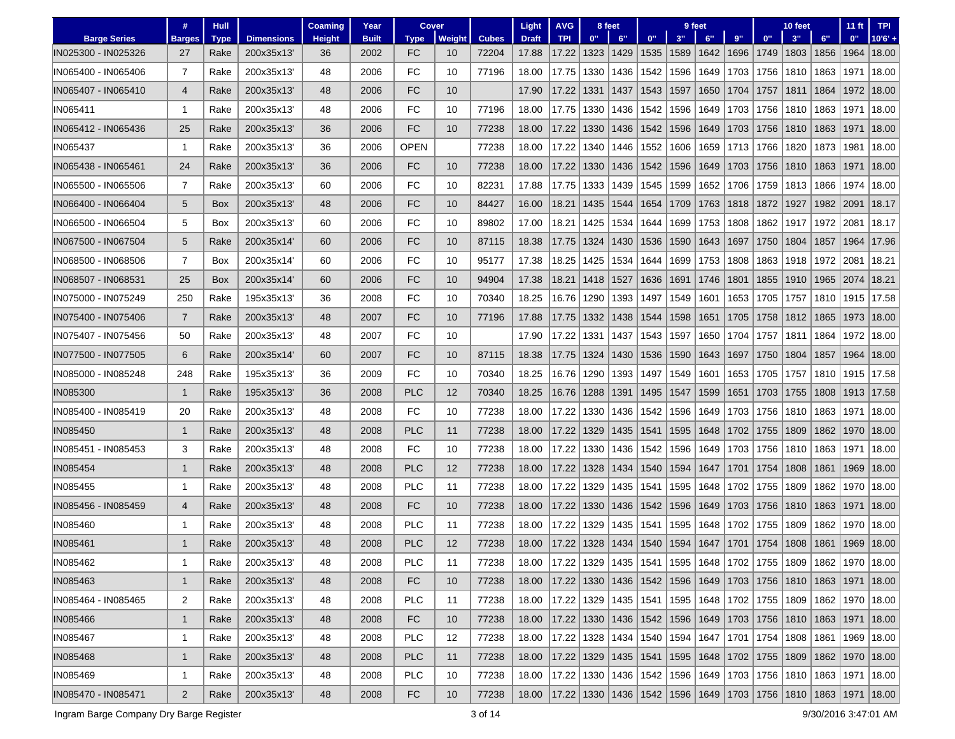|                     | #              | Hull       |                   | <b>Coaming</b> | Year         | Cover       |        |              | Light        | <b>AVG</b>                 |            | 8 feet                                                  |      |      | 9 feet                           |      |                 | 10 feet                          |      | $11$ ft                                                       | <b>TPI</b> |
|---------------------|----------------|------------|-------------------|----------------|--------------|-------------|--------|--------------|--------------|----------------------------|------------|---------------------------------------------------------|------|------|----------------------------------|------|-----------------|----------------------------------|------|---------------------------------------------------------------|------------|
| <b>Barge Series</b> | <b>Barges</b>  | Type       | <b>Dimensions</b> | <b>Height</b>  | <b>Built</b> | <b>Type</b> | Weight | <b>Cubes</b> | <b>Draft</b> | <b>TPI</b>                 | 0"         | 6"                                                      | 0"   | 3"   | 6"                               | 9"   | 0 <sup>11</sup> | 3"                               | 6"   | 0"                                                            | $10'6' +$  |
| IN025300 - IN025326 | 27             | Rake       | 200x35x13         | 36             | 2002         | FC          | 10     | 72204        | 17.88        | 17.22                      | 1323       | 1429                                                    | 1535 | 1589 | 1642                             | 1696 | 1749            | 1803                             | 1856 | 1964                                                          | 18.00      |
| IN065400 - IN065406 | $\overline{7}$ | Rake       | 200x35x13         | 48             | 2006         | FC          | 10     | 77196        | 18.00        | 17.75                      | 1330       | 1436                                                    | 1542 | 1596 | 1649                             | 1703 | 1756            | 1810                             | 1863 | 1971                                                          | 18.00      |
| IN065407 - IN065410 | 4              | Rake       | 200x35x13         | 48             | 2006         | FC          | 10     |              | 17.90        | 17.22                      | 1331       | 1437                                                    | 1543 | 1597 | 1650                             | 1704 | 1757            | 1811                             | 1864 | 1972                                                          | 18.00      |
| IN065411            | -1             | Rake       | 200x35x13         | 48             | 2006         | FC          | 10     | 77196        | 18.00        | 17.75                      | 1330       | 1436                                                    | 1542 | 1596 | 1649                             | 1703 | 1756            | 1810                             | 1863 | 1971                                                          | 18.00      |
| IN065412 - IN065436 | 25             | Rake       | 200x35x13         | 36             | 2006         | <b>FC</b>   | 10     | 77238        | 18.00        | 17.22                      | 1330       | 1436                                                    | 1542 | 1596 | 1649                             | 1703 | 1756            | 1810                             | 1863 | 1971                                                          | 18.00      |
| IN065437            | -1             | Rake       | 200x35x13         | 36             | 2006         | <b>OPEN</b> |        | 77238        | 18.00        | 17.22                      | 1340       | 1446                                                    | 1552 | 1606 | 1659                             | 1713 | 1766            | 1820                             | 1873 | 1981                                                          | 18.00      |
| IN065438 - IN065461 | 24             | Rake       | 200x35x13         | 36             | 2006         | FC          | 10     | 77238        | 18.00        | 17.22                      | 1330       | 1436                                                    | 1542 | 1596 | 1649                             | 1703 | 1756            | 1810                             | 1863 | 1971                                                          | 18.00      |
| IN065500 - IN065506 | $\overline{7}$ | Rake       | 200x35x13         | 60             | 2006         | FC          | 10     | 82231        | 17.88        | 17.75                      | 1333       | 1439                                                    | 1545 | 1599 | 1652                             | 1706 | 1759            | 1813                             | 1866 | 1974                                                          | 18.00      |
| IN066400 - IN066404 | 5              | <b>Box</b> | 200x35x13         | 48             | 2006         | FC          | 10     | 84427        | 16.00        | 18.21                      | 1435       | 1544                                                    | 1654 | 1709 | 1763                             | 1818 | 1872            | 1927                             | 1982 | 2091                                                          | 18.17      |
| IN066500 - IN066504 | 5              | Box        | 200x35x13         | 60             | 2006         | FC          | 10     | 89802        | 17.00        | 18.21                      | 1425       | 1534                                                    | 1644 | 1699 | 1753                             | 1808 | 1862            | 1917                             | 1972 | 2081                                                          | 18.17      |
| IN067500 - IN067504 | 5              | Rake       | 200x35x14         | 60             | 2006         | FC          | 10     | 87115        | 18.38        | 17.75                      | 1324       | 1430                                                    | 1536 | 1590 | 1643                             | 1697 | 1750            | 1804                             | 1857 | 1964                                                          | 17.96      |
| IN068500 - IN068506 | $\overline{7}$ | Box        | 200x35x14         | 60             | 2006         | FC          | 10     | 95177        | 17.38        | 18.25                      | 1425       | 1534                                                    | 1644 | 1699 | 1753                             | 1808 | 1863            | 1918                             | 1972 | 2081                                                          | 18.21      |
| IN068507 - IN068531 | 25             | <b>Box</b> | 200x35x14         | 60             | 2006         | <b>FC</b>   | 10     | 94904        | 17.38        | 18.21                      | 1418       | 1527                                                    | 1636 | 1691 | 1746                             | 1801 | 1855            | 1910                             | 1965 | 2074                                                          | 18.21      |
| IN075000 - IN075249 | 250            | Rake       | 195x35x13'        | 36             | 2008         | FC          | 10     | 70340        | 18.25        | 16.76                      | 1290       | 1393                                                    | 1497 | 1549 | 1601                             | 1653 | 1705            | 1757                             | 1810 | 1915                                                          | 17.58      |
| IN075400 - IN075406 | $\overline{7}$ | Rake       | 200x35x13         | 48             | 2007         | FC          | 10     | 77196        | 17.88        | 17.75                      | 1332       | 1438                                                    | 1544 | 1598 | 1651                             | 1705 | 1758            | 1812                             | 1865 | 1973                                                          | 18.00      |
| IN075407 - IN075456 | 50             | Rake       | 200x35x13         | 48             | 2007         | FC          | 10     |              | 17.90        | 17.22                      | 1331       | 1437                                                    | 1543 | 1597 | 1650                             | 1704 | 1757            | 1811                             | 1864 | 1972                                                          | 18.00      |
| IN077500 - IN077505 | 6              | Rake       | 200x35x14         | 60             | 2007         | FC          | 10     | 87115        | 18.38        | 17.75                      | 1324       | 1430                                                    | 1536 | 1590 | 1643                             | 1697 | 1750            | 1804                             | 1857 | 1964                                                          | 18.00      |
| IN085000 - IN085248 | 248            | Rake       | 195x35x13'        | 36             | 2009         | FC          | 10     | 70340        | 18.25        | 16.76                      | 1290       | 1393                                                    | 1497 | 1549 | 1601                             | 1653 | 1705            | 1757                             | 1810 | 1915                                                          | 17.58      |
| IN085300            | 1              | Rake       | 195x35x13         | 36             | 2008         | <b>PLC</b>  | 12     | 70340        | 18.25        | 16.76                      | 1288       | 1391                                                    | 1495 | 1547 | 1599                             | 1651 | 1703            | 1755                             | 1808 | 1913                                                          | 17.58      |
| IN085400 - IN085419 | 20             | Rake       | 200x35x13         | 48             | 2008         | <b>FC</b>   | 10     | 77238        | 18.00        | 17.22                      | 1330       | 1436                                                    | 1542 | 1596 | 1649                             | 1703 | 1756            | 1810                             | 1863 | 1971                                                          | 18.00      |
| IN085450            | $\mathbf 1$    | Rake       | 200x35x13         | 48             | 2008         | <b>PLC</b>  | 11     | 77238        | 18.00        | 17.22                      | 1329       | 1435                                                    | 1541 | 1595 | 1648                             | 1702 | 1755            | 1809                             | 1862 | 1970                                                          | 18.00      |
| IN085451 - IN085453 | 3              | Rake       | 200x35x13         | 48             | 2008         | <b>FC</b>   | 10     | 77238        | 18.00        | 17.22                      | 1330       | 1436                                                    | 1542 | 1596 | 1649                             | 1703 | 1756            | 1810                             | 1863 | 1971                                                          | 18.00      |
| IN085454            | 1              | Rake       | 200x35x13         | 48             | 2008         | <b>PLC</b>  | 12     | 77238        | 18.00        | 17.22                      | 1328       | 1434                                                    | 1540 | 1594 | 1647                             | 1701 | 1754            | 1808                             | 1861 | 1969                                                          | 18.00      |
| IN085455            | -1             | Rake       | 200x35x13'        | 48             | 2008         | PLC         | 11     | 77238        | 18.00        | 17.22                      | 1329       | 1435                                                    | 1541 | 1595 | 1648                             | 1702 | 1755            | 1809                             | 1862 | 1970                                                          | 18.00      |
| IN085456 - IN085459 | $\overline{4}$ | Rake       | 200x35x13         | 48             | 2008         | FC          | 10     | 77238        | 18.00        | 17.22                      | 1330       | 1436                                                    | 1542 | 1596 | 1649                             | 1703 | 1756            | 1810                             | 1863 | 1971                                                          | 18.00      |
| IN085460            | -1             | Rake       | 200x35x13         | 48             | 2008         | <b>PLC</b>  | 11     | 77238        | 18.00        | 17.22                      | 1329       | 1435                                                    | 1541 | 1595 | 1648                             | 1702 | 1755            | 1809                             | 1862 | 1970                                                          | 18.00      |
| IN085461            | $\mathbf 1$    | Rake       | 200x35x13         | 48             | 2008         | <b>PLC</b>  | 12     | 77238        | 18.00        | 17.22                      | 1328       | 1434                                                    | 1540 | 1594 | 1647                             | 1701 | 1754            | 1808                             | 1861 | 1969                                                          | 18.00      |
| IN085462            |                | Rake       | 200x35x13         | 48             | 2008         | <b>PLC</b>  | 11     | 77238        | 18.00        | 17.22   1329   1435   1541 |            |                                                         |      |      |                                  |      |                 |                                  |      | 1595   1648   1702   1755   1809   1862   1970   18.00        |            |
| IN085463            | $\mathbf{1}$   | Rake       | 200x35x13         | 48             | 2008         | FC          | 10     | 77238        | 18.00        |                            |            |                                                         |      |      |                                  |      |                 |                                  |      | 17.22 1330 1436 1542 1596 1649 1703 1756 1810 1863 1971 18.00 |            |
| IN085464 - IN085465 | 2              | Rake       | 200x35x13'        | 48             | 2008         | <b>PLC</b>  | 11     | 77238        | 18.00        |                            |            | 17.22   1329   1435   1541                              |      |      | 1595   1648   1702   1755   1809 |      |                 |                                  |      | 1862   1970                                                   | 18.00      |
| IN085466            | $\mathbf{1}$   | Rake       | 200x35x13         | 48             | 2008         | FC          | 10     | 77238        | 18.00        |                            | 17.22 1330 | $1436$ 1542                                             |      | 1596 | 1649                             |      |                 | 1703   1756   1810   1863   1971 |      |                                                               | 18.00      |
| IN085467            | 1              | Rake       | 200x35x13'        | 48             | 2008         | <b>PLC</b>  | 12     | 77238        | 18.00        | 17.22   1328   1434   1540 |            |                                                         |      |      |                                  |      |                 |                                  |      | 1594   1647   1701   1754   1808   1861   1969                | 18.00      |
| IN085468            | $\mathbf{1}$   | Rake       | 200x35x13'        | 48             | 2008         | <b>PLC</b>  | 11     | 77238        | 18.00        | 17.22   1329   1435   1541 |            |                                                         |      |      | 1595   1648                      |      |                 |                                  |      | 1702   1755   1809   1862   1970   18.00                      |            |
| IN085469            | 1              | Rake       | 200x35x13'        | 48             | 2008         | <b>PLC</b>  | 10     | 77238        | 18.00        |                            |            | 17.22   1330   1436   1542                              |      |      | 1596   1649                      |      |                 |                                  |      | 1703   1756   1810   1863   1971                              | 18.00      |
| IN085470 - IN085471 | $\overline{2}$ | Rake       | 200x35x13         | 48             | 2008         | FC          | 10     | 77238        | 18.00        |                            |            | 17.22 1330 1436 1542 1596 1649 1703 1756 1810 1863 1971 |      |      |                                  |      |                 |                                  |      |                                                               | 18.00      |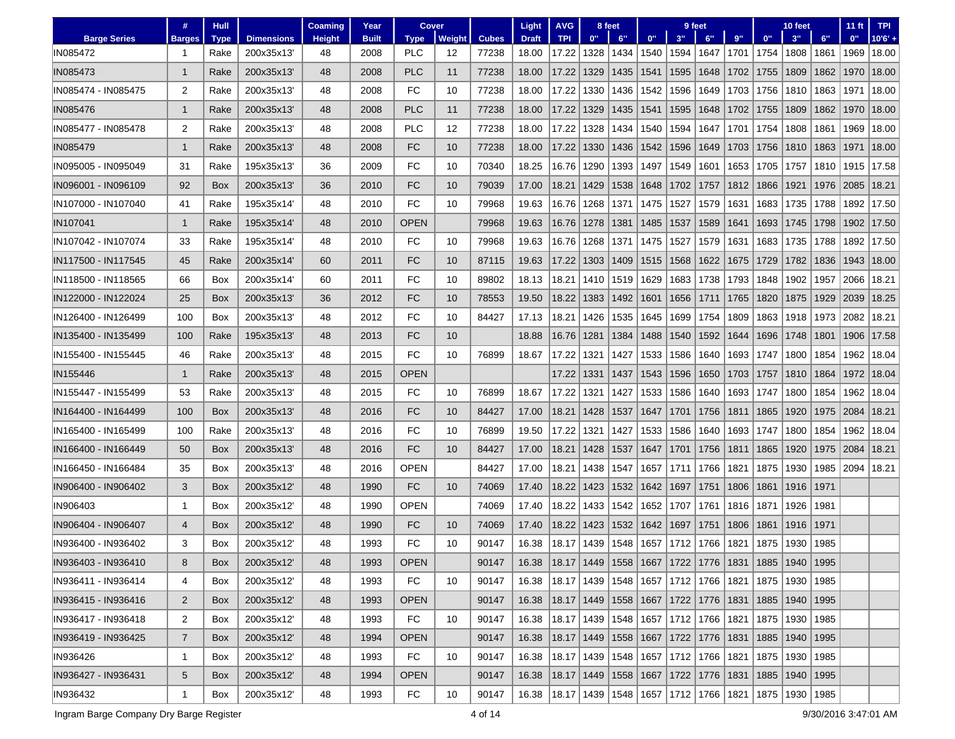|                     | #              | <b>Hull</b> |                   | Coaming       | Year         | Cover       |        |              | Light                                                   | <b>AVG</b>                                                           |      | 8 feet |      |      | 9 feet                                   |      |                    | 10 feet            |      | $11$ ft | <b>TPI</b> |
|---------------------|----------------|-------------|-------------------|---------------|--------------|-------------|--------|--------------|---------------------------------------------------------|----------------------------------------------------------------------|------|--------|------|------|------------------------------------------|------|--------------------|--------------------|------|---------|------------|
| <b>Barge Series</b> | <b>Barges</b>  | <b>Type</b> | <b>Dimensions</b> | <b>Height</b> | <b>Built</b> | <b>Type</b> | Weight | <b>Cubes</b> | <b>Draft</b>                                            | <b>TPI</b>                                                           | 0"   | 6"     | 0"   | 3"   | 6"                                       | 9"   | 0"                 | 3"                 | 6"   | 0"      | $10'6' +$  |
| IN085472            |                | Rake        | 200x35x13         | 48            | 2008         | <b>PLC</b>  | 12     | 77238        | 18.00                                                   | 17.22                                                                | 1328 | 1434   | 1540 |      | 1594 1647                                | 1701 | 1754               | 1808               | 1861 | 1969    | 18.00      |
| IN085473            | 1              | Rake        | 200x35x13         | 48            | 2008         | <b>PLC</b>  | 11     | 77238        | 18.00                                                   | 17.22                                                                | 1329 | 1435   | 1541 | 1595 | 1648                                     | 1702 | 1755               | 1809               | 1862 | 1970    | 18.00      |
| IN085474 - IN085475 | 2              | Rake        | 200x35x13         | 48            | 2008         | FC          | 10     | 77238        | 18.00                                                   | 17.22                                                                | 1330 | 1436   | 1542 | 1596 | 1649                                     | 1703 | 1756               | 1810               | 1863 | 1971    | 18.00      |
| <b>IN085476</b>     | 1              | Rake        | 200x35x13         | 48            | 2008         | PLC         | 11     | 77238        | 18.00                                                   | 17.22                                                                | 1329 | 1435   | 1541 | 1595 | 1648                                     | 1702 | 1755               | 1809               | 1862 | 1970    | 18.00      |
| IN085477 - IN085478 | 2              | Rake        | 200x35x13'        | 48            | 2008         | <b>PLC</b>  | 12     | 77238        | 18.00                                                   | 17.22                                                                | 1328 | 1434   | 1540 | 1594 | 1647                                     | 1701 | 1754               | 1808               | 1861 | 1969    | 18.00      |
| <b>IN085479</b>     | -1             | Rake        | 200x35x13         | 48            | 2008         | FC          | 10     | 77238        | 18.00                                                   | 17.22                                                                | 1330 | 1436   | 1542 | 1596 | 1649                                     | 1703 | 1756               | 1810               | 1863 | 1971    | 18.00      |
| IN095005 - IN095049 | 31             | Rake        | 195x35x13'        | 36            | 2009         | FC          | 10     | 70340        | 18.25                                                   | 16.76                                                                | 1290 | 1393   | 1497 | 1549 | 1601                                     | 1653 | 1705               | 1757               | 1810 | 1915    | 17.58      |
| IN096001 - IN096109 | 92             | Box         | 200x35x13         | 36            | 2010         | FC          | 10     | 79039        | 17.00                                                   | 18.21                                                                | 1429 | 1538   | 1648 | 1702 | 1757                                     | 1812 | 1866               | 1921               | 1976 | 2085    | 18.21      |
| IN107000 - IN107040 | 41             | Rake        | 195x35x14         | 48            | 2010         | FC          | 10     | 79968        | 19.63                                                   | 16.76                                                                | 1268 | 1371   | 1475 | 1527 | 1579                                     | 1631 | 1683               | 1735               | 1788 | 1892    | 17.50      |
| IN107041            | 1              | Rake        | 195x35x14'        | 48            | 2010         | <b>OPEN</b> |        | 79968        | 19.63                                                   | 16.76                                                                | 1278 | 1381   | 1485 | 1537 | 1589                                     | 1641 | 1693               | 1745               | 1798 | 1902    | 17.50      |
| IN107042 - IN107074 | 33             | Rake        | 195x35x14         | 48            | 2010         | FC          | 10     | 79968        | 19.63                                                   | 16.76                                                                | 1268 | 1371   | 1475 | 1527 | 1579                                     | 1631 | 1683               | 1735               | 1788 | 1892    | 17.50      |
| IN117500 - IN117545 | 45             | Rake        | 200x35x14         | 60            | 2011         | FC          | 10     | 87115        | 19.63                                                   | 17.22                                                                | 1303 | 1409   | 1515 | 1568 | 1622                                     | 1675 | 1729               | 1782               | 1836 | 1943    | 18.00      |
| IN118500 - IN118565 | 66             | Box         | 200x35x14         | 60            | 2011         | FC          | 10     | 89802        | 18.13                                                   | 18.21                                                                | 1410 | 1519   | 1629 | 1683 | 1738                                     | 1793 | 1848               | 1902               | 1957 | 2066    | 18.21      |
| IN122000 - IN122024 | 25             | Box         | 200x35x13         | 36            | 2012         | FC          | 10     | 78553        | 19.50                                                   | 18.22                                                                | 1383 | 1492   | 1601 | 1656 | 1711                                     | 1765 | 1820               | 1875               | 1929 | 2039    | 18.25      |
| IN126400 - IN126499 | 100            | <b>Box</b>  | 200x35x13'        | 48            | 2012         | FC          | 10     | 84427        | 17.13                                                   | 18.21                                                                | 1426 | 1535   | 1645 | 1699 | 1754                                     | 1809 | 1863               | 1918               | 1973 | 2082    | 18.21      |
| IN135400 - IN135499 | 100            | Rake        | 195x35x13         | 48            | 2013         | FC          | 10     |              | 18.88                                                   | 16.76                                                                | 1281 | 1384   | 1488 | 1540 | 1592                                     | 1644 | 1696               | 1748               | 1801 | 1906    | 17.58      |
| IN155400 - IN155445 | 46             | Rake        | 200x35x13         | 48            | 2015         | FC          | 10     | 76899        | 18.67                                                   | 17.22                                                                | 1321 | 1427   | 1533 | 1586 | 1640                                     | 1693 | 1747               | 1800               | 1854 | 1962    | 18.04      |
| IN155446            | 1              | Rake        | 200x35x13         | 48            | 2015         | <b>OPEN</b> |        |              |                                                         | 17.22                                                                | 1331 | 1437   | 1543 | 1596 | 1650                                     | 1703 | 1757               | 1810               | 1864 | 1972    | 18.04      |
| IN155447 - IN155499 | 53             | Rake        | 200x35x13'        | 48            | 2015         | FC          | 10     | 76899        | 18.67                                                   | 17.22                                                                | 1321 | 1427   | 1533 | 1586 | 1640                                     | 1693 | 1747               | 1800               | 1854 | 1962    | 18.04      |
| IN164400 - IN164499 | 100            | Box         | 200x35x13         | 48            | 2016         | FC          | 10     | 84427        | 17.00                                                   | 18.21                                                                | 1428 | 1537   | 1647 | 1701 | 1756                                     | 1811 | 1865               | 1920               | 1975 | 2084    | 18.21      |
| IN165400 - IN165499 | 100            | Rake        | 200x35x13         | 48            | 2016         | FC          | 10     | 76899        | 19.50                                                   | 17.22                                                                | 1321 | 1427   | 1533 | 1586 | 1640                                     | 1693 | 1747               | 1800               | 1854 | 1962    | 18.04      |
| IN166400 - IN166449 | 50             | Box         | 200x35x13         | 48            | 2016         | <b>FC</b>   | 10     | 84427        | 17.00                                                   | 18.21                                                                | 1428 | 1537   | 1647 | 1701 | 1756                                     | 1811 | 1865               | 1920               | 1975 | 2084    | 18.21      |
| IN166450 - IN166484 | 35             | Box         | 200x35x13'        | 48            | 2016         | <b>OPEN</b> |        | 84427        | 17.00                                                   | 18.21                                                                | 1438 | 1547   | 1657 | 1711 | 1766                                     | 1821 | 1875               | 1930               | 1985 | 2094    | 18.21      |
| IN906400 - IN906402 | 3              | Box         | 200x35x12         | 48            | 1990         | FC          | 10     | 74069        | 17.40                                                   | 18.22                                                                | 1423 | 1532   | 1642 | 1697 | 1751                                     | 1806 | 1861               | 1916               | 1971 |         |            |
| IN906403            | 1              | Box         | 200x35x12         | 48            | 1990         | <b>OPEN</b> |        | 74069        | 17.40                                                   | 18.22                                                                | 1433 | 1542   | 1652 | 1707 | 1761                                     | 1816 | 1871               | 1926               | 1981 |         |            |
| IN906404 - IN906407 | 4              | Box         | 200x35x12         | 48            | 1990         | FC          | 10     | 74069        | 17.40                                                   | 18.22                                                                | 1423 | 1532   | 1642 | 1697 | 1751                                     | 1806 | 1861               | 1916               | 1971 |         |            |
| IN936400 - IN936402 | 3              | Box         | 200x35x12         | 48            | 1993         | FC          | 10     | 90147        | 16.38                                                   | 18.17                                                                | 1439 | 1548   | 1657 | 1712 | 1766                                     | 1821 | 1875               | 1930               | 1985 |         |            |
| IN936403 - IN936410 | 8              | Box         | 200x35x12         | 48            | 1993         | <b>OPEN</b> |        | 90147        | 16.38                                                   | 18.17   1449   1558   1667   1722   1776   1831   1885   1940   1995 |      |        |      |      |                                          |      |                    |                    |      |         |            |
| IN936411 - IN936414 | 4              | Box         | 200x35x12         | 48            | 1993         | FC          | 10     | 90147        | 16.38   18.17   1439   1548   1657   1712   1766   1821 |                                                                      |      |        |      |      |                                          |      |                    | 1875   1930   1985 |      |         |            |
| IN936415 - IN936416 | $\mathbf{2}$   | Box         | 200x35x12         | 48            | 1993         | <b>OPEN</b> |        | 90147        | 16.38                                                   | 18.17   1449   1558   1667   1722   1776                             |      |        |      |      |                                          | 1831 | 1885               | 1940   1995        |      |         |            |
| IN936417 - IN936418 | 2              | Box         | 200x35x12         | 48            | 1993         | FC          | 10     | 90147        | 16.38                                                   |                                                                      |      |        |      |      | 18.17   1439   1548   1657   1712   1766 | 1821 | 1875               | 1930   1985        |      |         |            |
| IN936419 - IN936425 | $\overline{7}$ | Box         | 200x35x12         | 48            | 1994         | <b>OPEN</b> |        | 90147        | 16.38                                                   | $18.17$   1449   1558   1667                                         |      |        |      |      | 1722   1776   1831                       |      |                    | 1885   1940   1995 |      |         |            |
| IN936426            | 1              | Box         | 200x35x12         | 48            | 1993         | FC          | 10     | 90147        | 16.38                                                   |                                                                      |      |        |      |      | 18.17   1439   1548   1657   1712   1766 | 1821 |                    | 1875   1930   1985 |      |         |            |
| IN936427 - IN936431 | $5^{\circ}$    | Box         | 200x35x12         | 48            | 1994         | <b>OPEN</b> |        | 90147        | 16.38                                                   | 18.17   1449   1558   1667   1722   1776   1831                      |      |        |      |      |                                          |      |                    | 1885   1940   1995 |      |         |            |
| IN936432            | 1              | Box         | 200x35x12         | 48            | 1993         | FC          | 10     | 90147        |                                                         | 16.38   18.17   1439   1548   1657   1712   1766   1821              |      |        |      |      |                                          |      | 1875   1930   1985 |                    |      |         |            |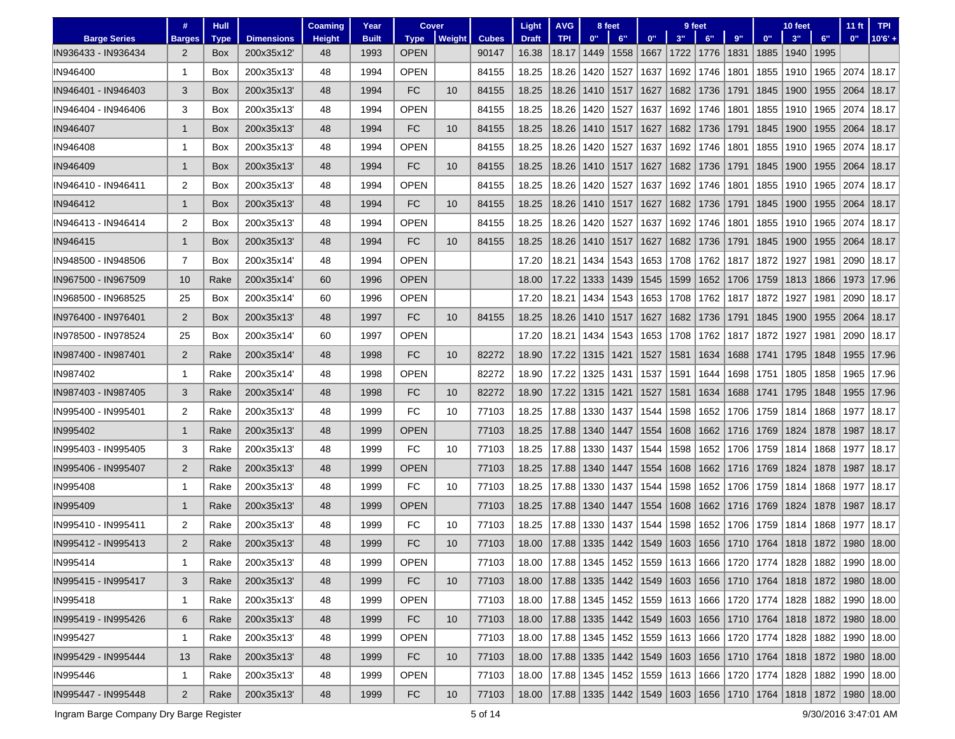|                     | #              | <b>Hull</b> |                   | Coaming       | Year         | <b>Cover</b> |               |              | Light        | <b>AVG</b>                 |      | 8 feet                     |      |      | 9 feet      |      |       | 10 feet |      | $11$ ft                                                                             | <b>TPI</b>                                                                          |
|---------------------|----------------|-------------|-------------------|---------------|--------------|--------------|---------------|--------------|--------------|----------------------------|------|----------------------------|------|------|-------------|------|-------|---------|------|-------------------------------------------------------------------------------------|-------------------------------------------------------------------------------------|
| <b>Barge Series</b> | <b>Barges</b>  | <b>Type</b> | <b>Dimensions</b> | <b>Height</b> | <b>Built</b> | <b>Type</b>  | <b>Weight</b> | <b>Cubes</b> | <b>Draft</b> | <b>TPI</b>                 | 0"   | 6"                         | 0"   | 3"   | 6"          | 9"   | $0$ " | 3"      | 6"   | 0"                                                                                  | $10'6' +$                                                                           |
| IN936433 - IN936434 | 2              | Box         | 200x35x12         | 48            | 1993         | <b>OPEN</b>  |               | 90147        | 16.38        | 18.17                      | 1449 | 1558                       | 1667 | 1722 | 1776        | 1831 | 1885  | 1940    | 1995 |                                                                                     |                                                                                     |
| IN946400            | 1              | Box         | 200x35x13         | 48            | 1994         | <b>OPEN</b>  |               | 84155        | 18.25        | 18.26                      | 1420 | 1527                       | 1637 | 1692 | 1746        | 1801 | 1855  | 1910    | 1965 | 2074                                                                                | 18.17                                                                               |
| IN946401 - IN946403 | 3              | Box         | 200x35x13         | 48            | 1994         | FC           | 10            | 84155        | 18.25        | 18.26                      | 1410 | 1517                       | 1627 | 1682 | 1736        | 1791 | 1845  | 1900    | 1955 | 2064                                                                                | 18.17                                                                               |
| IN946404 - IN946406 | 3              | Box         | 200x35x13         | 48            | 1994         | <b>OPEN</b>  |               | 84155        | 18.25        | 18.26                      | 1420 | 1527                       | 1637 | 1692 | 1746        | 1801 | 1855  | 1910    | 1965 | 2074                                                                                | 18.17                                                                               |
| <b>IN946407</b>     | $\mathbf{1}$   | Box         | 200x35x13         | 48            | 1994         | FC           | 10            | 84155        | 18.25        | 18.26                      | 1410 | 1517                       | 1627 | 1682 | 1736        | 1791 | 1845  | 1900    | 1955 | 2064                                                                                | 18.17                                                                               |
| IN946408            | -1             | Box         | 200x35x13'        | 48            | 1994         | <b>OPEN</b>  |               | 84155        | 18.25        | 18.26                      | 1420 | 1527                       | 1637 | 1692 | 1746        | 1801 | 1855  | 1910    | 1965 | 2074                                                                                | 18.17                                                                               |
| IN946409            | 1              | Box         | 200x35x13         | 48            | 1994         | FC           | 10            | 84155        | 18.25        | 18.26                      | 1410 | 1517                       | 1627 | 1682 | 1736        | 1791 | 1845  | 1900    | 1955 | 2064                                                                                | 18.17                                                                               |
| IN946410 - IN946411 | 2              | Box         | 200x35x13         | 48            | 1994         | <b>OPEN</b>  |               | 84155        | 18.25        | 18.26                      | 1420 | 1527                       | 1637 | 1692 | 1746        | 1801 | 1855  | 1910    | 1965 | 2074                                                                                | 18.17                                                                               |
| IN946412            | $\mathbf{1}$   | Box         | 200x35x13         | 48            | 1994         | <b>FC</b>    | 10            | 84155        | 18.25        | 18.26                      | 1410 | 1517                       | 1627 | 1682 | 1736        | 1791 | 1845  | 1900    | 1955 | 2064                                                                                | 18.17                                                                               |
| IN946413 - IN946414 | 2              | Box         | 200x35x13         | 48            | 1994         | <b>OPEN</b>  |               | 84155        | 18.25        | 18.26                      | 1420 | 1527                       | 1637 | 1692 | 1746        | 1801 | 1855  | 1910    | 1965 | 2074                                                                                | 18.17                                                                               |
| IN946415            | 1              | Box         | 200x35x13         | 48            | 1994         | FC           | 10            | 84155        | 18.25        | 18.26                      | 1410 | 1517                       | 1627 | 1682 | 1736        | 1791 | 1845  | 1900    | 1955 | 2064                                                                                | 18.17                                                                               |
| IN948500 - IN948506 | $\overline{7}$ | Box         | 200x35x14         | 48            | 1994         | <b>OPEN</b>  |               |              | 17.20        | 18.21                      | 1434 | 1543                       | 1653 | 1708 | 1762        | 1817 | 1872  | 1927    | 1981 | 2090                                                                                | 18.17                                                                               |
| IN967500 - IN967509 | 10             | Rake        | 200x35x14         | 60            | 1996         | <b>OPEN</b>  |               |              | 18.00        | 17.22                      | 1333 | 1439                       | 1545 | 1599 | 1652        | 1706 | 1759  | 1813    | 1866 | 1973                                                                                | 17.96                                                                               |
| IN968500 - IN968525 | 25             | Box         | 200x35x14         | 60            | 1996         | <b>OPEN</b>  |               |              | 17.20        | 18.21                      | 1434 | 1543                       | 1653 | 1708 | 1762        | 1817 | 1872  | 1927    | 1981 | 2090                                                                                | 18.17                                                                               |
| IN976400 - IN976401 | $\overline{2}$ | Box         | 200x35x13         | 48            | 1997         | FC           | 10            | 84155        | 18.25        | 18.26                      | 1410 | 1517                       | 1627 | 1682 | 1736        | 1791 | 1845  | 1900    | 1955 | 2064                                                                                | 18.17                                                                               |
| IN978500 - IN978524 | 25             | Box         | 200x35x14         | 60            | 1997         | <b>OPEN</b>  |               |              | 17.20        | 18.21                      | 1434 | 1543                       | 1653 | 1708 | 1762        | 1817 | 1872  | 1927    | 1981 | 2090                                                                                | 18.17                                                                               |
| IN987400 - IN987401 | $\overline{2}$ | Rake        | 200x35x14         | 48            | 1998         | FC           | 10            | 82272        | 18.90        | 17.22                      | 1315 | 1421                       | 1527 | 1581 | 1634        | 1688 | 1741  | 1795    | 1848 | 1955                                                                                | 17.96                                                                               |
| IN987402            | -1             | Rake        | 200x35x14         | 48            | 1998         | OPEN         |               | 82272        | 18.90        | 17.22                      | 1325 | 1431                       | 1537 | 1591 | 1644        | 1698 | 1751  | 1805    | 1858 | 1965                                                                                | 17.96                                                                               |
| IN987403 - IN987405 | 3              | Rake        | 200x35x14         | 48            | 1998         | FC           | 10            | 82272        | 18.90        | 17.22                      | 1315 | 1421                       | 1527 | 1581 | 1634        | 1688 | 1741  | 1795    | 1848 | 1955                                                                                | 17.96                                                                               |
| IN995400 - IN995401 | 2              | Rake        | 200x35x13'        | 48            | 1999         | <b>FC</b>    | 10            | 77103        | 18.25        | 17.88                      | 1330 | 1437                       | 1544 | 1598 | 1652        | 1706 | 1759  | 1814    | 1868 | 1977                                                                                | 18.17                                                                               |
| IN995402            | 1              | Rake        | 200x35x13         | 48            | 1999         | <b>OPEN</b>  |               | 77103        | 18.25        | 17.88                      | 1340 | 1447                       | 1554 | 1608 | 1662        | 1716 | 1769  | 1824    | 1878 | 1987                                                                                | 18.17                                                                               |
| IN995403 - IN995405 | 3              | Rake        | 200x35x13         | 48            | 1999         | <b>FC</b>    | 10            | 77103        | 18.25        | 17.88                      | 1330 | 1437                       | 1544 | 1598 | 1652        | 1706 | 1759  | 1814    | 1868 | 1977                                                                                | 18.17                                                                               |
| IN995406 - IN995407 | $\overline{2}$ | Rake        | 200x35x13         | 48            | 1999         | <b>OPEN</b>  |               | 77103        | 18.25        | 17.88                      | 1340 | 1447                       | 1554 | 1608 | 1662        | 1716 | 1769  | 1824    | 1878 | 1987                                                                                | 18.17                                                                               |
| IN995408            | -1             | Rake        | 200x35x13         | 48            | 1999         | FC           | 10            | 77103        | 18.25        | 17.88                      | 1330 | 1437                       | 1544 | 1598 | 1652        | 1706 | 1759  | 1814    | 1868 | 1977                                                                                | 18.17                                                                               |
| IN995409            | 1              | Rake        | 200x35x13         | 48            | 1999         | <b>OPEN</b>  |               | 77103        | 18.25        | 17.88                      | 1340 | 1447                       | 1554 | 1608 | 1662        | 1716 | 1769  | 1824    | 1878 | 1987                                                                                | 18.17                                                                               |
| IN995410 - IN995411 | 2              | Rake        | 200x35x13         | 48            | 1999         | FC           | 10            | 77103        | 18.25        | 17.88                      | 1330 | 1437                       | 1544 | 1598 | 1652        | 1706 | 1759  | 1814    | 1868 | 1977                                                                                | 18.17                                                                               |
| IN995412 - IN995413 | $\overline{2}$ | Rake        | 200x35x13         | 48            | 1999         | <b>FC</b>    | 10            | 77103        | 18.00        | 17.88                      | 1335 | 1442                       | 1549 | 1603 | 1656        | 1710 | 1764  | 1818    | 1872 | 1980                                                                                | 18.00                                                                               |
| IN995414            | -1             | Rake        | 200x35x13         | 48            | 1999         | OPEN         |               | 77103        | 18.00        |                            |      |                            |      |      |             |      |       |         |      | 17.88   1345   1452   1559   1613   1666   1720   1774   1828   1882   1990   18.00 |                                                                                     |
| IN995415 - IN995417 | 3              | Rake        | 200x35x13'        | 48            | 1999         | FC           | 10            | 77103        | 18.00        |                            |      |                            |      |      |             |      |       |         |      | 17.88 1335 1442 1549 1603 1656 1710 1764 1818 1872 1980 18.00                       |                                                                                     |
| IN995418            | 1              | Rake        | 200x35x13'        | 48            | 1999         | <b>OPEN</b>  |               | 77103        | 18.00        | 17.88   1345   1452   1559 |      |                            |      |      | 1613   1666 |      |       |         |      | 1720   1774   1828   1882   1990                                                    | 18.00                                                                               |
| IN995419 - IN995426 | 6              | Rake        | 200x35x13'        | 48            | 1999         | FC           | 10            | 77103        | 18.00        | 17.88 1335                 |      | 1442   1549                |      |      | 1603   1656 |      |       |         |      | 1710   1764   1818   1872   1980                                                    | 18.00                                                                               |
| IN995427            | 1              | Rake        | 200x35x13'        | 48            | 1999         | <b>OPEN</b>  |               | 77103        | 18.00        | 17.88   1345   1452   1559 |      |                            |      |      |             |      |       |         |      | 1613   1666   1720   1774   1828   1882   1990                                      | 18.00                                                                               |
| IN995429 - IN995444 | 13             | Rake        | 200x35x13'        | 48            | 1999         | FC           | 10            | 77103        | 18.00        |                            |      | 17.88   1335   1442   1549 |      |      |             |      |       |         |      | 1603   1656   1710   1764   1818   1872   1980   18.00                              |                                                                                     |
| IN995446            | 1              | Rake        | 200x35x13'        | 48            | 1999         | <b>OPEN</b>  |               | 77103        | 18.00        | 17.88   1345   1452   1559 |      |                            |      |      | 1613   1666 |      |       |         |      |                                                                                     | 1720   1774   1828   1882   1990   18.00                                            |
| IN995447 - IN995448 | $\overline{2}$ | Rake        | 200x35x13'        | 48            | 1999         | FC           | 10            | 77103        | 18.00        |                            |      |                            |      |      |             |      |       |         |      |                                                                                     | 17.88   1335   1442   1549   1603   1656   1710   1764   1818   1872   1980   18.00 |

Ingram Barge Company Dry Barge Register examples the state of the state of 14 9/30/2016 3:47:01 AM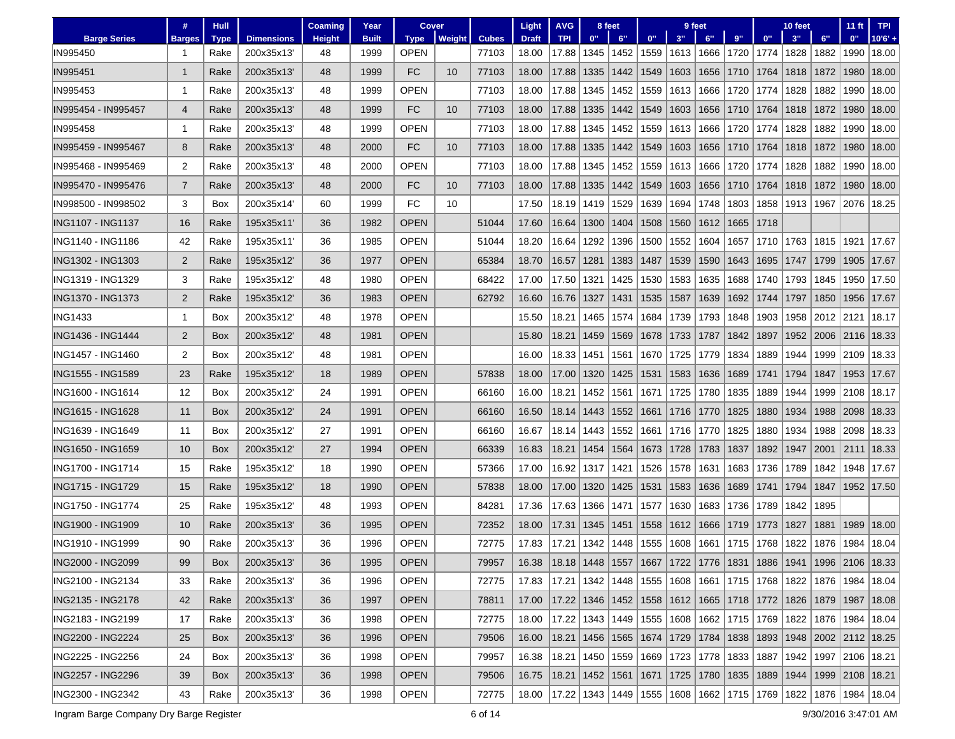|                     | #                 | Hull        |                   | Coaming       | Year         | Cover       |        |              | Light                              | <b>AVG</b>                                                                          |      | 8 feet                     |      |      | 9 feet                                         |      |      | 10 feet |           | 11 <sub>ft</sub> | <b>TPI</b>                                                               |
|---------------------|-------------------|-------------|-------------------|---------------|--------------|-------------|--------|--------------|------------------------------------|-------------------------------------------------------------------------------------|------|----------------------------|------|------|------------------------------------------------|------|------|---------|-----------|------------------|--------------------------------------------------------------------------|
| <b>Barge Series</b> | <b>Barges</b>     | <b>Type</b> | <b>Dimensions</b> | <b>Height</b> | <b>Built</b> | <b>Type</b> | Weight | <b>Cubes</b> | <b>Draft</b>                       | <b>TPI</b>                                                                          | 0"   | 6"                         | 0"   | 3"   | 6"                                             | 9"   | 0"   | 3"      | 6"        | 0"               | $10'6' +$                                                                |
| IN995450            |                   | Rake        | 200x35x13         | 48            | 1999         | <b>OPEN</b> |        | 77103        | 18.00                              | 17.88                                                                               | 1345 | 1452                       | 1559 | 1613 | 1666                                           | 1720 | 1774 | 1828    | 1882      | 1990             | 18.00                                                                    |
| IN995451            | $\mathbf{1}$      | Rake        | 200x35x13         | 48            | 1999         | FC          | 10     | 77103        | 18.00                              | 17.88                                                                               | 1335 | 1442                       | 1549 | 1603 | 1656                                           | 1710 | 1764 | 1818    | 1872      | 1980             | 18.00                                                                    |
| IN995453            | $\mathbf{1}$      | Rake        | 200x35x13         | 48            | 1999         | <b>OPEN</b> |        | 77103        | 18.00                              | 17.88                                                                               | 1345 | 1452                       | 1559 | 1613 | 1666                                           | 1720 | 1774 | 1828    | 1882      | 1990             | 18.00                                                                    |
| IN995454 - IN995457 | 4                 | Rake        | 200x35x13         | 48            | 1999         | <b>FC</b>   | 10     | 77103        | 18.00                              | 17.88                                                                               | 1335 | 1442                       | 1549 | 1603 | 1656                                           | 1710 | 1764 | 1818    | 1872      | 1980             | 18.00                                                                    |
| IN995458            | 1                 | Rake        | 200x35x13         | 48            | 1999         | <b>OPEN</b> |        | 77103        | 18.00                              | 17.88                                                                               | 1345 | 1452                       | 1559 | 1613 | 1666                                           | 1720 | 1774 | 1828    | 1882      | 1990             | 18.00                                                                    |
| IN995459 - IN995467 | 8                 | Rake        | 200x35x13         | 48            | 2000         | <b>FC</b>   | 10     | 77103        | 18.00                              | 17.88                                                                               | 1335 | 1442                       | 1549 | 1603 | 1656                                           | 1710 | 1764 | 1818    | 1872      | 1980             | 18.00                                                                    |
| IN995468 - IN995469 | 2                 | Rake        | 200x35x13         | 48            | 2000         | OPEN        |        | 77103        | 18.00                              | 17.88                                                                               | 1345 | 1452                       | 1559 | 1613 | 1666                                           | 1720 | 1774 | 1828    | 1882      | 1990             | 18.00                                                                    |
| IN995470 - IN995476 | $\overline{7}$    | Rake        | 200x35x13         | 48            | 2000         | FC          | 10     | 77103        | 18.00                              | 17.88                                                                               | 1335 | 1442                       | 1549 | 1603 | 1656                                           | 1710 | 1764 | 1818    | 1872      | 1980             | 18.00                                                                    |
| IN998500 - IN998502 | 3                 | Box         | 200x35x14         | 60            | 1999         | <b>FC</b>   | 10     |              | 17.50                              | 18.19                                                                               | 1419 | 1529                       | 1639 | 1694 | 1748                                           | 1803 | 1858 | 1913    | 1967      | 2076             | 18.25                                                                    |
| ING1107 - ING1137   | 16                | Rake        | 195x35x11'        | 36            | 1982         | <b>OPEN</b> |        | 51044        | 17.60                              | 16.64                                                                               | 1300 | 1404                       | 1508 | 1560 | 1612                                           | 1665 | 1718 |         |           |                  |                                                                          |
| ING1140 - ING1186   | 42                | Rake        | 195x35x11'        | 36            | 1985         | <b>OPEN</b> |        | 51044        | 18.20                              | 16.64                                                                               | 1292 | 1396                       | 1500 | 1552 | 1604                                           | 1657 | 1710 | 1763    | 1815      | 1921             | 17.67                                                                    |
| ING1302 - ING1303   | 2                 | Rake        | 195x35x12         | 36            | 1977         | <b>OPEN</b> |        | 65384        | 18.70                              | 16.57                                                                               | 1281 | 1383                       | 1487 | 1539 | 1590                                           | 1643 | 1695 | 1747    | 1799      | 1905             | 17.67                                                                    |
| ING1319 - ING1329   | 3                 | Rake        | 195x35x12         | 48            | 1980         | <b>OPEN</b> |        | 68422        | 17.00                              | 17.50                                                                               | 1321 | 1425                       | 1530 | 1583 | 1635                                           | 1688 | 1740 | 1793    | 1845      | 1950             | 17.50                                                                    |
| ING1370 - ING1373   | $\overline{2}$    | Rake        | 195x35x12         | 36            | 1983         | <b>OPEN</b> |        | 62792        | 16.60                              | 16.76                                                                               | 1327 | 1431                       | 1535 | 1587 | 1639                                           | 1692 | 1744 | 1797    | 1850      | 1956             | 17.67                                                                    |
| <b>ING1433</b>      | $\mathbf{1}$      | <b>Box</b>  | 200x35x12         | 48            | 1978         | <b>OPEN</b> |        |              | 15.50                              | 18.21                                                                               | 1465 | 1574                       | 1684 | 1739 | 1793                                           | 1848 | 1903 | 1958    |           | 2012   2121      | 18.17                                                                    |
| ING1436 - ING1444   | $\overline{2}$    | <b>Box</b>  | 200x35x12         | 48            | 1981         | <b>OPEN</b> |        |              | 15.80                              | 18.21                                                                               | 1459 | 1569                       | 1678 | 1733 | 1787                                           | 1842 | 1897 | 1952    | 2006 2116 |                  | 18.33                                                                    |
| ING1457 - ING1460   | $\overline{2}$    | <b>Box</b>  | 200x35x12         | 48            | 1981         | <b>OPEN</b> |        |              | 16.00                              | 18.33                                                                               | 1451 | 1561                       | 1670 | 1725 | 1779                                           | 1834 | 1889 | 1944    | 1999      | 2109             | 18.33                                                                    |
| ING1555 - ING1589   | 23                | Rake        | 195x35x12         | 18            | 1989         | <b>OPEN</b> |        | 57838        | 18.00                              | 17.00                                                                               | 1320 | 1425                       | 1531 | 1583 | 1636                                           | 1689 | 1741 | 1794    | 1847      | 1953             | 17.67                                                                    |
| ING1600 - ING1614   | $12 \overline{ }$ | <b>Box</b>  | 200x35x12         | 24            | 1991         | <b>OPEN</b> |        | 66160        | 16.00                              | 18.21                                                                               | 1452 | 1561                       | 1671 | 1725 | 1780                                           | 1835 | 1889 | 1944    | 1999      | 2108             | 18.17                                                                    |
| ING1615 - ING1628   | 11                | <b>Box</b>  | 200x35x12         | 24            | 1991         | <b>OPEN</b> |        | 66160        | 16.50                              | 18.14                                                                               | 1443 | 1552                       | 1661 | 1716 | 1770                                           | 1825 | 1880 | 1934    | 1988      | 2098             | 18.33                                                                    |
| ING1639 - ING1649   | 11                | Box         | 200x35x12         | 27            | 1991         | <b>OPEN</b> |        | 66160        | 16.67                              | 18.14                                                                               | 1443 | 1552                       | 1661 | 1716 | 1770                                           | 1825 | 1880 | 1934    | 1988      | 2098             | 18.33                                                                    |
| ING1650 - ING1659   | 10 <sup>°</sup>   | <b>Box</b>  | 200x35x12         | 27            | 1994         | <b>OPEN</b> |        | 66339        | 16.83                              | 18.21                                                                               | 1454 | 1564                       | 1673 | 1728 | 1783                                           | 1837 | 1892 | 1947    | 2001      | 2111             | 18.33                                                                    |
| ING1700 - ING1714   | 15                | Rake        | 195x35x12         | 18            | 1990         | <b>OPEN</b> |        | 57366        | 17.00                              | 16.92                                                                               | 1317 | 1421                       | 1526 | 1578 | 1631                                           | 1683 | 1736 | 1789    | 1842      | 1948             | 17.67                                                                    |
| ING1715 - ING1729   | 15                | Rake        | 195x35x12         | 18            | 1990         | <b>OPEN</b> |        | 57838        | 18.00                              | 17.00                                                                               | 1320 | 1425                       | 1531 | 1583 | 1636                                           | 1689 | 1741 | 1794    | 1847      | 1952             | 17.50                                                                    |
| ING1750 - ING1774   | 25                | Rake        | 195x35x12         | 48            | 1993         | <b>OPEN</b> |        | 84281        | 17.36                              | 17.63                                                                               | 1366 | 1471                       | 1577 | 1630 | 1683                                           | 1736 | 1789 | 1842    | 1895      |                  |                                                                          |
| ING1900 - ING1909   | 10                | Rake        | 200x35x13         | 36            | 1995         | <b>OPEN</b> |        | 72352        | 18.00                              | 17.31                                                                               | 1345 | 1451                       | 1558 | 1612 | 1666                                           | 1719 | 1773 | 1827    | 1881      | 1989             | 18.00                                                                    |
| ING1910 - ING1999   | 90                | Rake        | 200x35x13         | 36            | 1996         | OPEN        |        | 72775        | 17.83                              | 17.21                                                                               | 1342 | 1448                       | 1555 | 1608 | 1661                                           | 1715 | 1768 | 1822    | 1876      | 1984             | 18.04                                                                    |
| ING2000 - ING2099   | 99                | Box         | 200x35x13         | 36            | 1995         | <b>OPEN</b> |        | 79957        | 16.38                              | 18.18   1448   1557   1667   1722   1776   1831   1886   1941   1996   2106   18.33 |      |                            |      |      |                                                |      |      |         |           |                  |                                                                          |
| ING2100 - ING2134   | 33                | Rake        | 200x35x13'        | 36            | 1996         | <b>OPEN</b> |        | 72775        | 17.83   17.21   1342   1448   1555 |                                                                                     |      |                            |      |      |                                                |      |      |         |           |                  | 1608   1661   1715   1768   1822   1876   1984   18.04                   |
| ING2135 - ING2178   | 42                | Rake        | 200x35x13'        | 36            | 1997         | <b>OPEN</b> |        | 78811        | 17.00                              | 17.22   1346   1452   1558                                                          |      |                            |      |      |                                                |      |      |         |           |                  | 1612   1665   1718   1772   1826   1879   1987   18.08                   |
| ING2183 - ING2199   | 17                | Rake        | 200x35x13'        | 36            | 1998         | <b>OPEN</b> |        | 72775        | 18.00                              |                                                                                     |      | 17.22   1343   1449   1555 |      |      | 1608   1662   1715   1769   1822   1876   1984 |      |      |         |           |                  | 18.04                                                                    |
| ING2200 - ING2224   | 25                | Box         | 200x35x13         | 36            | 1996         | <b>OPEN</b> |        | 79506        | 16.00                              |                                                                                     |      | 18.21   1456   1565   1674 |      |      |                                                |      |      |         |           |                  | 1729   1784   1838   1893   1948   2002   2112   18.25                   |
| ING2225 - ING2256   | 24                | Box         | 200x35x13'        | 36            | 1998         | <b>OPEN</b> |        | 79957        | 16.38                              | 18.21                                                                               |      |                            |      |      | 1450   1559   1669   1723   1778   1833   1887 |      |      |         |           |                  | 1942   1997   2106   18.21                                               |
| ING2257 - ING2296   | 39                | Box         | 200x35x13'        | 36            | 1998         | <b>OPEN</b> |        | 79506        | 16.75                              | 18.21   1452   1561                                                                 |      |                            |      |      |                                                |      |      |         |           |                  | 1671  1725  1780  1835  1889  1944  1999  2108  18.21                    |
| ING2300 - ING2342   | 43                | Rake        | 200x35x13'        | 36            | 1998         | <b>OPEN</b> |        | 72775        | 18.00                              |                                                                                     |      |                            |      |      |                                                |      |      |         |           |                  | 17.22  1343  1449  1555  1608  1662  1715  1769  1822  1876  1984  18.04 |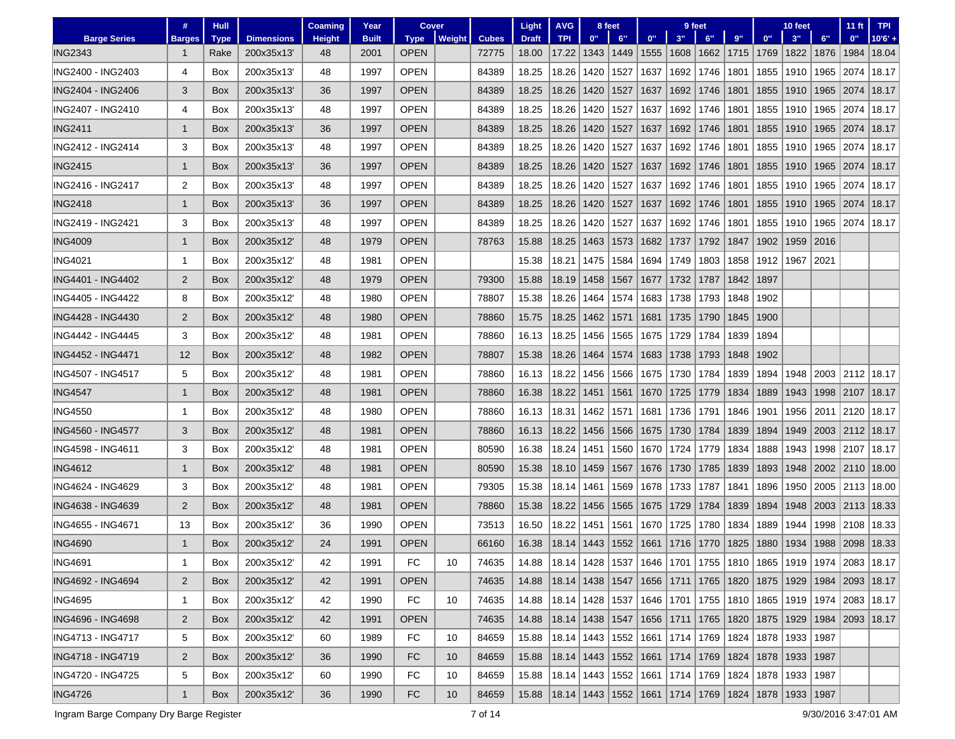|                          | #              | <b>Hull</b> |                   | Coaming       | Year         | Cover       |        |              | Light        | <b>AVG</b>                                                           |      | 8 feet |      |      | 9 feet             |      |      | 10 feet            |      | 11 ft                                                                    | <b>TPI</b> |
|--------------------------|----------------|-------------|-------------------|---------------|--------------|-------------|--------|--------------|--------------|----------------------------------------------------------------------|------|--------|------|------|--------------------|------|------|--------------------|------|--------------------------------------------------------------------------|------------|
| <b>Barge Series</b>      | <b>Barges</b>  | <b>Type</b> | <b>Dimensions</b> | <b>Height</b> | <b>Built</b> | <b>Type</b> | Weight | <b>Cubes</b> | <b>Draft</b> | <b>TPI</b>                                                           | 0"   | 6"     | 0"   | 3"   | 6"                 | 9"   | 0"   | 3"                 | 6"   | 0"                                                                       | $10'6' +$  |
| <b>ING2343</b>           | -1             | Rake        | 200x35x13         | 48            | 2001         | <b>OPEN</b> |        | 72775        | 18.00        | 17.22                                                                | 1343 | 1449   | 1555 | 1608 | 1662               | 1715 | 1769 | 1822               | 1876 | 1984                                                                     | 18.04      |
| ING2400 - ING2403        | 4              | <b>Box</b>  | 200x35x13         | 48            | 1997         | <b>OPEN</b> |        | 84389        | 18.25        | 18.26                                                                | 1420 | 1527   | 1637 | 1692 | 1746               | 1801 | 1855 | 1910               | 1965 | 2074                                                                     | 18.17      |
| ING2404 - ING2406        | 3              | Box         | 200x35x13         | 36            | 1997         | <b>OPEN</b> |        | 84389        | 18.25        | 18.26                                                                | 1420 | 1527   | 1637 |      | 1692   1746        | 1801 | 1855 | 1910               | 1965 | 2074                                                                     | 18.17      |
| ING2407 - ING2410        | 4              | Box         | 200x35x13'        | 48            | 1997         | <b>OPEN</b> |        | 84389        | 18.25        | 18.26                                                                | 1420 | 1527   | 1637 | 1692 | 1746               | 1801 | 1855 | 1910               | 1965 | 2074                                                                     | 18.17      |
| <b>ING2411</b>           | $\mathbf{1}$   | Box         | 200x35x13         | 36            | 1997         | <b>OPEN</b> |        | 84389        | 18.25        | 18.26                                                                | 1420 | 1527   | 1637 | 1692 | 1746               | 1801 | 1855 | 1910               | 1965 | 2074                                                                     | 18.17      |
| ING2412 - ING2414        | 3              | Box         | 200x35x13'        | 48            | 1997         | <b>OPEN</b> |        | 84389        | 18.25        | 18.26                                                                | 1420 | 1527   | 1637 | 1692 | 1746               | 1801 | 1855 | 1910               | 1965 | 2074                                                                     | 18.17      |
| <b>ING2415</b>           | $\mathbf{1}$   | Box         | 200x35x13         | 36            | 1997         | <b>OPEN</b> |        | 84389        | 18.25        | 18.26                                                                | 1420 | 1527   | 1637 | 1692 | 1746               | 1801 | 1855 | 1910               | 1965 | 2074                                                                     | 18.17      |
| ING2416 - ING2417        | 2              | Box         | 200x35x13         | 48            | 1997         | <b>OPEN</b> |        | 84389        | 18.25        | 18.26                                                                | 1420 | 1527   | 1637 | 1692 | 1746               | 1801 | 1855 | 1910               | 1965 | 2074                                                                     | 18.17      |
| <b>ING2418</b>           | $\mathbf{1}$   | Box         | 200x35x13         | 36            | 1997         | <b>OPEN</b> |        | 84389        | 18.25        | 18.26                                                                | 1420 | 1527   | 1637 | 1692 | 1746               | 1801 | 1855 | 1910               | 1965 | 2074                                                                     | 18.17      |
| ING2419 - ING2421        | 3              | Box         | 200x35x13'        | 48            | 1997         | <b>OPEN</b> |        | 84389        | 18.25        | 18.26                                                                | 1420 | 1527   | 1637 | 1692 | 1746               | 1801 | 1855 | 1910               | 1965 | 2074                                                                     | 18.17      |
| <b>ING4009</b>           | $\mathbf{1}$   | Box         | 200x35x12         | 48            | 1979         | <b>OPEN</b> |        | 78763        | 15.88        | 18.25                                                                | 1463 | 1573   | 1682 | 1737 | 1792               | 1847 | 1902 | 1959               | 2016 |                                                                          |            |
| <b>ING4021</b>           | -1             | Box         | 200x35x12         | 48            | 1981         | <b>OPEN</b> |        |              | 15.38        | 18.21                                                                | 1475 | 1584   | 1694 | 1749 | 1803               | 1858 | 1912 | 1967               | 2021 |                                                                          |            |
| ING4401 - ING4402        | $\overline{2}$ | Box         | 200x35x12         | 48            | 1979         | <b>OPEN</b> |        | 79300        | 15.88        | 18.19                                                                | 1458 | 1567   | 1677 | 1732 | 1787               | 1842 | 1897 |                    |      |                                                                          |            |
| ING4405 - ING4422        | 8              | Box         | 200x35x12         | 48            | 1980         | <b>OPEN</b> |        | 78807        | 15.38        | 18.26                                                                | 1464 | 1574   | 1683 | 1738 | 1793               | 1848 | 1902 |                    |      |                                                                          |            |
| ING4428 - ING4430        | $\overline{2}$ | <b>Box</b>  | 200x35x12         | 48            | 1980         | <b>OPEN</b> |        | 78860        | 15.75        | 18.25                                                                | 1462 | 1571   | 1681 | 1735 | 1790               | 1845 | 1900 |                    |      |                                                                          |            |
| ING4442 - ING4445        | 3              | Box         | 200x35x12         | 48            | 1981         | <b>OPEN</b> |        | 78860        | 16.13        | 18.25                                                                | 1456 | 1565   | 1675 | 1729 | 1784               | 1839 | 1894 |                    |      |                                                                          |            |
| ING4452 - ING4471        | 12             | Box         | 200x35x12         | 48            | 1982         | <b>OPEN</b> |        | 78807        | 15.38        | 18.26                                                                | 1464 | 1574   | 1683 | 1738 | 1793               | 1848 | 1902 |                    |      |                                                                          |            |
| ING4507 - ING4517        | 5              | Box         | 200x35x12         | 48            | 1981         | <b>OPEN</b> |        | 78860        | 16.13        | 18.22                                                                | 1456 | 1566   | 1675 | 1730 | 1784               | 1839 | 1894 | 1948               | 2003 |                                                                          | 2112 18.17 |
| <b>ING4547</b>           | $\mathbf{1}$   | Box         | 200x35x12         | 48            | 1981         | <b>OPEN</b> |        | 78860        | 16.38        | 18.22                                                                | 1451 | 1561   | 1670 | 1725 | 1779               | 1834 | 1889 | 1943               |      | 1998 2107                                                                | 18.17      |
| ING4550                  | -1             | Box         | 200x35x12         | 48            | 1980         | <b>OPEN</b> |        | 78860        | 16.13        | 18.31                                                                | 1462 | 1571   | 1681 | 1736 | 1791               | 1846 | 1901 | 1956               | 2011 | 2120                                                                     | 18.17      |
| ING4560 - ING4577        | 3              | Box         | 200x35x12         | 48            | 1981         | <b>OPEN</b> |        | 78860        | 16.13        | 18.22                                                                | 1456 | 1566   | 1675 |      | 1730   1784        | 1839 | 1894 | 1949               |      | 2003   2112                                                              | 18.17      |
| ING4598 - ING4611        | 3              | Box         | 200x35x12         | 48            | 1981         | <b>OPEN</b> |        | 80590        | 16.38        | 18.24                                                                | 1451 | 1560   | 1670 | 1724 | 1779               | 1834 | 1888 | 1943               | 1998 | 2107                                                                     | 18.17      |
| <b>ING4612</b>           | $\mathbf{1}$   | Box         | 200x35x12         | 48            | 1981         | <b>OPEN</b> |        | 80590        | 15.38        | 18.10                                                                | 1459 | 1567   | 1676 | 1730 | 1785               | 1839 | 1893 | 1948               | 2002 | 2110                                                                     | 18.00      |
| ING4624 - ING4629        | 3              | Box         | 200x35x12         | 48            | 1981         | <b>OPEN</b> |        | 79305        | 15.38        | 18.14                                                                | 1461 | 1569   | 1678 | 1733 | 1787               | 1841 | 1896 | 1950               | 2005 | 2113                                                                     | 18.00      |
| ING4638 - ING4639        | $\overline{2}$ | Box         | 200x35x12         | 48            | 1981         | <b>OPEN</b> |        | 78860        | 15.38        | 18.22                                                                | 1456 | 1565   | 1675 | 1729 | 1784               | 1839 | 1894 | 1948               | 2003 | 2113 18.33                                                               |            |
| ING4655 - ING4671        | 13             | Box         | 200x35x12         | 36            | 1990         | <b>OPEN</b> |        | 73513        | 16.50        | 18.22                                                                | 1451 | 1561   | 1670 | 1725 | 1780               | 1834 | 1889 | 1944               | 1998 |                                                                          | 2108 18.33 |
| <b>ING4690</b>           | $\mathbf{1}$   | Box         | 200x35x12         | 24            | 1991         | <b>OPEN</b> |        | 66160        | 16.38        | 18.14                                                                | 1443 | 1552   | 1661 |      | 1716 1770          | 1825 | 1880 | 1934               | 1988 | 2098                                                                     | 18.33      |
| ING4691                  | -1             | Box         | 200x35x12         | 42            | 1991         | FC          | 10     | 74635        | 14.88        |                                                                      |      |        |      |      |                    |      |      |                    |      | 18.14  1428  1537  1646  1701  1755  1810  1865  1919  1974  2083  18.17 |            |
| <b>ING4692 - ING4694</b> | $\overline{2}$ | Box         | 200x35x12'        | 42            | 1991         | <b>OPEN</b> |        | 74635        | 14.88        | 18.14 1438 1547                                                      |      |        |      |      |                    |      |      |                    |      | 1656   1711   1765   1820   1875   1929   1984   2093   18.17            |            |
| <b>ING4695</b>           | 1              | Box         | 200x35x12         | 42            | 1990         | FC          | 10     | 74635        | 14.88        | 18.14   1428   1537                                                  |      |        |      |      | 1646  1701  1755   |      |      |                    |      | 1810   1865   1919   1974   2083   18.17                                 |            |
| ING4696 - ING4698        | $\overline{2}$ | Box         | 200x35x12         | 42            | 1991         | <b>OPEN</b> |        | 74635        | 14.88        | 18.14   1438   1547                                                  |      |        |      |      | 1656   1711   1765 |      |      | 1820   1875   1929 |      | 1984   2093   18.17                                                      |            |
| ING4713 - ING4717        | 5              | Box         | 200x35x12         | 60            | 1989         | FC          | 10     | 84659        | 15.88        | 18.14   1443   1552                                                  |      |        | 1661 |      | 1714   1769        |      |      | 1824   1878   1933 | 1987 |                                                                          |            |
| ING4718 - ING4719        | $\overline{2}$ | Box         | 200x35x12         | 36            | 1990         | FC          | 10     | 84659        | 15.88        | 18.14   1443   1552   1661   1714   1769   1824   1878   1933        |      |        |      |      |                    |      |      |                    | 1987 |                                                                          |            |
| ING4720 - ING4725        | 5              | Box         | 200x35x12         | 60            | 1990         | <b>FC</b>   | 10     | 84659        | 15.88        | 18.14   1443   1552   1661                                           |      |        |      |      | 1714   1769        |      |      | 1824   1878   1933 | 1987 |                                                                          |            |
| <b>ING4726</b>           | $\mathbf{1}$   | Box         | 200x35x12         | 36            | 1990         | FC          | 10     | 84659        | 15.88        | 18.14   1443   1552   1661   1714   1769   1824   1878   1933   1987 |      |        |      |      |                    |      |      |                    |      |                                                                          |            |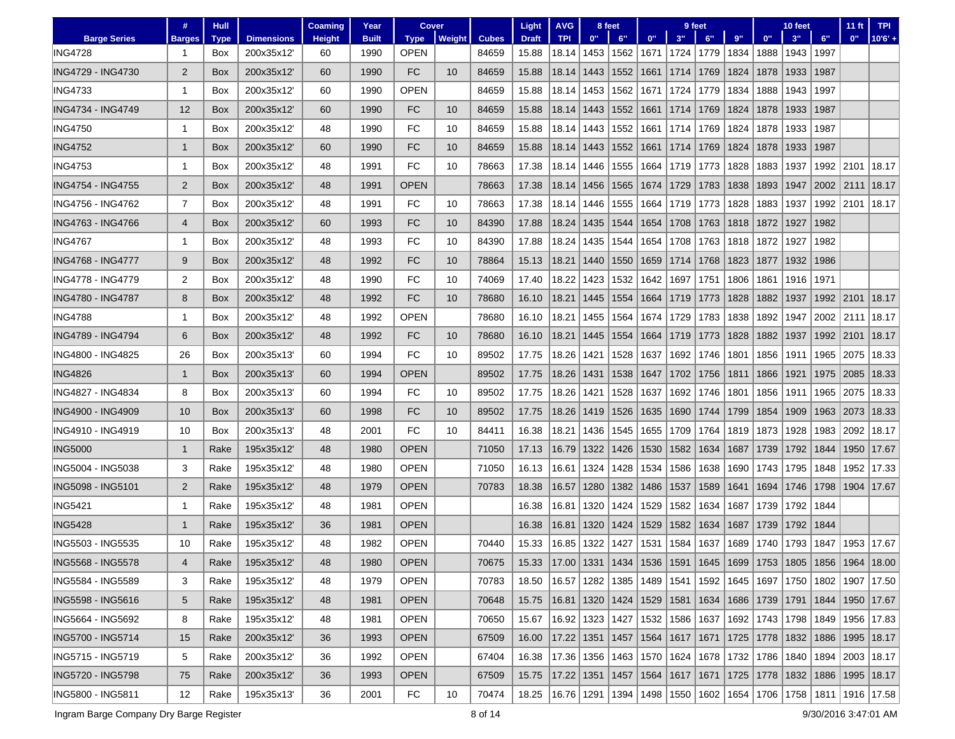|                          | #                       | <b>Hull</b> |                   | Coaming       | Year         | <b>Cover</b> |               |              | Light                                                                                       | <b>AVG</b>                                    |                     | 8 feet                     |                    |             | 9 feet      |      |                           | 10 feet |      | 11 <sub>ft</sub>                         | <b>TPI</b>                                             |
|--------------------------|-------------------------|-------------|-------------------|---------------|--------------|--------------|---------------|--------------|---------------------------------------------------------------------------------------------|-----------------------------------------------|---------------------|----------------------------|--------------------|-------------|-------------|------|---------------------------|---------|------|------------------------------------------|--------------------------------------------------------|
| <b>Barge Series</b>      | <b>Barges</b>           | <b>Type</b> | <b>Dimensions</b> | <b>Height</b> | <b>Built</b> | <b>Type</b>  | <b>Weight</b> | <b>Cubes</b> | <b>Draft</b>                                                                                | <b>TPI</b>                                    | 0"                  | 6"                         | 0"                 | 3"          | 6"          | 9"   | 0"                        | 3"      | 6"   | 0"                                       | $10'6' +$                                              |
| <b>ING4728</b>           |                         | Box         | 200x35x12         | 60            | 1990         | <b>OPEN</b>  |               | 84659        | 15.88                                                                                       | 18.14                                         | 1453                | 1562                       | 1671               |             | 1724   1779 | 1834 | 1888                      | 1943    | 1997 |                                          |                                                        |
| ING4729 - ING4730        | $\overline{2}$          | Box         | 200x35x12         | 60            | 1990         | FC           | 10            | 84659        | 15.88                                                                                       | 18.14                                         | 1443                | 1552                       | 1661               | 1714        | 1769        | 1824 | 1878                      | 1933    | 1987 |                                          |                                                        |
| <b>ING4733</b>           | 1                       | Box         | 200x35x12         | 60            | 1990         | <b>OPEN</b>  |               | 84659        | 15.88                                                                                       | 18.14                                         | 1453                | 1562                       | 1671               | 1724        | 1779        | 1834 | 1888                      | 1943    | 1997 |                                          |                                                        |
| ING4734 - ING4749        | 12                      | Box         | 200x35x12         | 60            | 1990         | <b>FC</b>    | 10            | 84659        | 15.88                                                                                       | 18.14                                         | 1443                | 1552                       | 1661               | 1714        | 1769        | 1824 | 1878                      | 1933    | 1987 |                                          |                                                        |
| <b>ING4750</b>           | 1                       | Box         | 200x35x12         | 48            | 1990         | FC           | 10            | 84659        | 15.88                                                                                       | 18.14                                         | 1443                | 1552                       | 1661               |             | 1714   1769 | 1824 | 1878                      | 1933    | 1987 |                                          |                                                        |
| <b>ING4752</b>           | $\mathbf{1}$            | Box         | 200x35x12         | 60            | 1990         | FC           | 10            | 84659        | 15.88                                                                                       | 18.14                                         | 1443                | 1552                       | 1661               | 1714        | 1769        | 1824 | 1878                      | 1933    | 1987 |                                          |                                                        |
| <b>ING4753</b>           | 1                       | Box         | 200x35x12         | 48            | 1991         | FC           | 10            | 78663        | 17.38                                                                                       | 18.14                                         | 1446                | 1555                       | 1664               | 1719        | 1773        | 1828 | 1883                      | 1937    | 1992 | 2101                                     | 18.17                                                  |
| ING4754 - ING4755        | $\overline{2}$          | Box         | 200x35x12         | 48            | 1991         | <b>OPEN</b>  |               | 78663        | 17.38                                                                                       | 18.14                                         | 1456                | 1565                       | 1674               | 1729        | 1783        | 1838 | 1893                      | 1947    | 2002 | 2111                                     | 18.17                                                  |
| ING4756 - ING4762        | $\overline{7}$          | Box         | 200x35x12'        | 48            | 1991         | FC           | 10            | 78663        | 17.38                                                                                       | 18.14                                         | 1446                | 1555                       | 1664               | 1719        | 1773        | 1828 | 1883                      | 1937    | 1992 | 2101                                     | 18.17                                                  |
| ING4763 - ING4766        | $\overline{4}$          | Box         | 200x35x12         | 60            | 1993         | FC           | 10            | 84390        | 17.88                                                                                       | 18.24                                         | 1435                | 1544                       | 1654               |             | 1708 1763   | 1818 | 1872                      | 1927    | 1982 |                                          |                                                        |
| <b>ING4767</b>           | 1                       | Box         | 200x35x12'        | 48            | 1993         | FC           | 10            | 84390        | 17.88                                                                                       | 18.24                                         | 1435                | 1544                       | 1654               |             | 1708   1763 | 1818 | 1872                      | 1927    | 1982 |                                          |                                                        |
| <b>ING4768 - ING4777</b> | 9                       | Box         | 200x35x12         | 48            | 1992         | FC           | 10            | 78864        | 15.13                                                                                       | 18.21                                         | 1440                | 1550                       | 1659               | 1714        | 1768        | 1823 | 1877                      | 1932    | 1986 |                                          |                                                        |
| ING4778 - ING4779        | 2                       | Box         | 200x35x12'        | 48            | 1990         | FC           | 10            | 74069        | 17.40                                                                                       | 18.22                                         | 1423                | 1532                       | 1642               | 1697        | 1751        | 1806 | 1861                      | 1916    | 1971 |                                          |                                                        |
| <b>ING4780 - ING4787</b> | 8                       | Box         | 200x35x12         | 48            | 1992         | <b>FC</b>    | 10            | 78680        | 16.10                                                                                       | 18.21                                         | 1445                | 1554                       | 1664               |             | 1719 1773   | 1828 | 1882                      | 1937    | 1992 | 2101                                     | 18.17                                                  |
| <b>ING4788</b>           | 1                       | Box         | 200x35x12'        | 48            | 1992         | <b>OPEN</b>  |               | 78680        | 16.10                                                                                       | 18.21                                         | 1455                | 1564                       | 1674               | 1729        | 1783        | 1838 | 1892                      | 1947    | 2002 |                                          | 2111   18.17                                           |
| ING4789 - ING4794        | 6                       | Box         | 200x35x12         | 48            | 1992         | FC           | 10            | 78680        | 16.10                                                                                       | 18.21                                         | 1445                | 1554                       | 1664               |             | 1719   1773 | 1828 | 1882                      | 1937    | 1992 | 2101                                     | 18.17                                                  |
| ING4800 - ING4825        | 26                      | Box         | 200x35x13         | 60            | 1994         | FC           | 10            | 89502        | 17.75                                                                                       | 18.26                                         | 1421                | 1528                       | 1637               | 1692        | 1746        | 1801 | 1856                      | 1911    | 1965 | 2075                                     | 18.33                                                  |
| <b>ING4826</b>           | $\mathbf{1}$            | Box         | 200x35x13         | 60            | 1994         | <b>OPEN</b>  |               | 89502        | 17.75                                                                                       | 18.26                                         | 1431                | 1538                       | 1647               |             | 1702   1756 | 1811 | 1866                      | 1921    | 1975 | 2085                                     | 18.33                                                  |
| ING4827 - ING4834        | 8                       | Box         | 200x35x13'        | 60            | 1994         | FC           | 10            | 89502        | 17.75                                                                                       | 18.26                                         | 1421                | 1528                       | 1637               | 1692        | 1746        | 1801 | 1856                      | 1911    | 1965 | 2075                                     | 18.33                                                  |
| ING4900 - ING4909        | 10                      | Box         | 200x35x13'        | 60            | 1998         | FC           | 10            | 89502        | 17.75                                                                                       | 18.26                                         | 1419                | 1526                       | 1635               |             | 1690   1744 | 1799 | 1854                      | 1909    | 1963 | 2073                                     | 18.33                                                  |
| ING4910 - ING4919        | 10                      | Box         | 200x35x13         | 48            | 2001         | FC           | 10            | 84411        | 16.38                                                                                       | 18.21                                         | 1436                | 1545                       | 1655               | 1709        | 1764        | 1819 | 1873                      | 1928    | 1983 | 2092                                     | 18.17                                                  |
| <b>ING5000</b>           | $\mathbf{1}$            | Rake        | 195x35x12         | 48            | 1980         | <b>OPEN</b>  |               | 71050        | 17.13                                                                                       | 16.79                                         | 1322                | 1426                       | 1530               | 1582        | 1634        | 1687 | 1739                      | 1792    | 1844 | 1950                                     | 17.67                                                  |
| ING5004 - ING5038        | 3                       | Rake        | 195x35x12'        | 48            | 1980         | <b>OPEN</b>  |               | 71050        | 16.13                                                                                       | 16.61                                         | 1324                | 1428                       | 1534               | 1586        | 1638        | 1690 | 1743                      | 1795    | 1848 | 1952                                     | 17.33                                                  |
| ING5098 - ING5101        | $\overline{2}$          | Rake        | 195x35x12         | 48            | 1979         | <b>OPEN</b>  |               | 70783        | 18.38                                                                                       | 16.57                                         | 1280                | 1382                       | 1486               | 1537        | 1589        | 1641 | 1694                      | 1746    | 1798 |                                          | 1904 17.67                                             |
| <b>ING5421</b>           |                         | Rake        | 195x35x12'        | 48            | 1981         | <b>OPEN</b>  |               |              | 16.38                                                                                       | 16.81                                         | 1320                | 1424                       | 1529               | 1582        | 1634        | 1687 | 1739                      | 1792    | 1844 |                                          |                                                        |
| <b>ING5428</b>           | 1                       | Rake        | 195x35x12         | 36            | 1981         | <b>OPEN</b>  |               |              | 16.38                                                                                       | 16.81                                         | 1320                | 1424                       | 1529               |             | 1582 1634   | 1687 | 1739                      | 1792    | 1844 |                                          |                                                        |
| ING5503 - ING5535        | 10                      | Rake        | 195x35x12         | 48            | 1982         | <b>OPEN</b>  |               | 70440        | 15.33                                                                                       | 16.85                                         | 1322                | 1427                       | 1531               | 1584        | 1637        | 1689 | 1740                      | 1793    | 1847 |                                          | 1953 17.67                                             |
| ING5568 - ING5578        | $\overline{\mathbf{4}}$ | Rake        | 195x35x12         | 48            | 1980         | <b>OPEN</b>  |               | 70675        | 15.33                                                                                       | 17.00 1331 1434 1536 1591 1645 1699 1753 1805 |                     |                            |                    |             |             |      |                           |         |      | 1856 1964 18.00                          |                                                        |
| ING5584 - ING5589        | 3                       | Rake        | 195x35x12'        | 48            | 1979         | OPEN         |               | 70783        | 18.50                                                                                       | 16.57   1282   1385   1489                    |                     |                            |                    | 1541        | 1592        |      | 1645   1697               |         |      | 1750   1802   1907   17.50               |                                                        |
| ING5598 - ING5616        | $5^{\circ}$             | Rake        | 195x35x12'        | 48            | 1981         | <b>OPEN</b>  |               | 70648        | 15.75                                                                                       | 16.81   1320   1424   1529   1581             |                     |                            |                    |             | 1634        |      |                           |         |      | 1686 1739 1791 1844 1950 17.67           |                                                        |
| ING5664 - ING5692        | 8                       | Rake        | 195x35x12'        | 48            | 1981         | OPEN         |               | 70650        | 15.67                                                                                       |                                               | 16.92   1323   1427 |                            | 1532               |             | 1586 1637   |      | 1692   1743   1798   1849 |         |      |                                          | 1956 17.83                                             |
| ING5700 - ING5714        | 15                      | Rake        | 200x35x12         | 36            | 1993         | <b>OPEN</b>  |               | 67509        | 16.00                                                                                       | 17.22                                         | 1351   1457         |                            | 1564               | 1617   1671 |             |      |                           |         |      | 1725   1778   1832   1886   1995   18.17 |                                                        |
| ING5715 - ING5719        | 5                       | Rake        | 200x35x12         | 36            | 1992         | <b>OPEN</b>  |               | 67404        | 16.38                                                                                       |                                               |                     | 17.36   1356   1463   1570 |                    |             |             |      |                           |         |      |                                          | 1624   1678   1732   1786   1840   1894   2003   18.17 |
| ING5720 - ING5798        | 75                      | Rake        | 200x35x12         | 36            | 1993         | <b>OPEN</b>  |               | 67509        | 15.75                                                                                       | $17.22$ 1351 1457                             |                     |                            | 1564   1617   1671 |             |             |      |                           |         |      | 1725   1778   1832   1886   1995   18.17 |                                                        |
| ING5800 - ING5811        | 12                      | Rake        | 195x35x13'        | 36            | 2001         | FC           | 10            | 70474        | 18.25   16.76   1291   1394   1498   1550   1602   1654   1706   1758   1811   1916   17.58 |                                               |                     |                            |                    |             |             |      |                           |         |      |                                          |                                                        |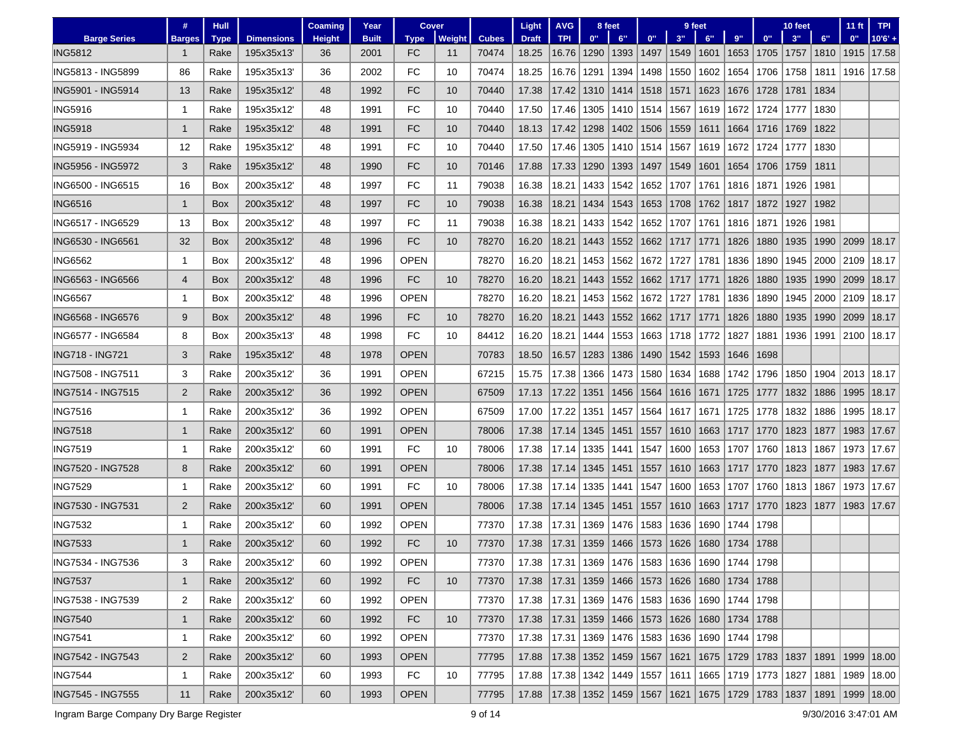|                          | #              | <b>Hull</b> |                   | <b>Coaming</b> | Year         | Cover       |        |              | Light                                                                 | <b>AVG</b>                                             |                            | 8 feet |      |           | 9 feet                                          |             |       | 10 feet |      | $11$ ft      | <b>TPI</b> |
|--------------------------|----------------|-------------|-------------------|----------------|--------------|-------------|--------|--------------|-----------------------------------------------------------------------|--------------------------------------------------------|----------------------------|--------|------|-----------|-------------------------------------------------|-------------|-------|---------|------|--------------|------------|
| <b>Barge Series</b>      | <b>Barges</b>  | <b>Type</b> | <b>Dimensions</b> | <b>Height</b>  | <b>Built</b> | <b>Type</b> | Weight | <b>Cubes</b> | <b>Draft</b>                                                          | <b>TPI</b>                                             | 0"                         | 6"     | 0"   | 3"        | 6"                                              | 9"          | $0$ " | 3"      | 6"   | 0"           | $10'6' +$  |
| <b>ING5812</b>           |                | Rake        | 195x35x13         | 36             | 2001         | FC          | 11     | 70474        | 18.25                                                                 | 16.76                                                  | 1290                       | 1393   | 1497 | 1549 1601 |                                                 | 1653        | 1705  | 1757    | 1810 | 1915         | 17.58      |
| ING5813 - ING5899        | 86             | Rake        | 195x35x13         | 36             | 2002         | FC          | 10     | 70474        | 18.25                                                                 | 16.76                                                  | 1291                       | 1394   | 1498 | 1550      | 1602                                            | 1654        | 1706  | 1758    | 1811 | 1916         | 17.58      |
| ING5901 - ING5914        | 13             | Rake        | 195x35x12         | 48             | 1992         | FC          | 10     | 70440        | 17.38                                                                 | 17.42                                                  | 1310                       | 1414   | 1518 | 1571      | 1623                                            | 1676        | 1728  | 1781    | 1834 |              |            |
| <b>ING5916</b>           | -1             | Rake        | 195x35x12         | 48             | 1991         | FC          | 10     | 70440        | 17.50                                                                 | 17.46                                                  | 1305                       | 1410   | 1514 | 1567      | 1619                                            | 1672        | 1724  | 1777    | 1830 |              |            |
| <b>ING5918</b>           | 1              | Rake        | 195x35x12         | 48             | 1991         | FC          | 10     | 70440        | 18.13                                                                 | 17.42                                                  | 1298                       | 1402   | 1506 | 1559      | 1611                                            | 1664        | 1716  | 1769    | 1822 |              |            |
| ING5919 - ING5934        | 12             | Rake        | 195x35x12         | 48             | 1991         | FC          | 10     | 70440        | 17.50                                                                 | 17.46                                                  | 1305                       | 1410   | 1514 | 1567      | 1619                                            | 1672        | 1724  | 1777    | 1830 |              |            |
| ING5956 - ING5972        | 3              | Rake        | 195x35x12         | 48             | 1990         | FC          | 10     | 70146        | 17.88                                                                 | 17.33                                                  | 1290                       | 1393   | 1497 | 1549      | 1601                                            | 1654        | 1706  | 1759    | 1811 |              |            |
| ING6500 - ING6515        | 16             | Box         | 200x35x12         | 48             | 1997         | FC          | 11     | 79038        | 16.38                                                                 | 18.21                                                  | 1433                       | 1542   | 1652 | 1707      | 1761                                            | 1816        | 1871  | 1926    | 1981 |              |            |
| <b>ING6516</b>           | $\mathbf{1}$   | Box         | 200x35x12         | 48             | 1997         | FC          | 10     | 79038        | 16.38                                                                 | 18.21                                                  | 1434                       | 1543   | 1653 | 1708      | 1762                                            | 1817        | 1872  | 1927    | 1982 |              |            |
| ING6517 - ING6529        | 13             | Box         | 200x35x12         | 48             | 1997         | FC          | 11     | 79038        | 16.38                                                                 | 18.21                                                  | 1433                       | 1542   | 1652 | 1707      | 1761                                            | 1816        | 1871  | 1926    | 1981 |              |            |
| ING6530 - ING6561        | 32             | Box         | 200x35x12         | 48             | 1996         | FC          | 10     | 78270        | 16.20                                                                 | 18.21                                                  | 1443                       | 1552   | 1662 | 1717      | 1771                                            | 1826        | 1880  | 1935    | 1990 | 2099         | 18.17      |
| <b>ING6562</b>           | 1              | Box         | 200x35x12         | 48             | 1996         | <b>OPEN</b> |        | 78270        | 16.20                                                                 | 18.21                                                  | 1453                       | 1562   | 1672 | 1727      | 1781                                            | 1836        | 1890  | 1945    | 2000 | 2109         | 18.17      |
| ING6563 - ING6566        | 4              | Box         | 200x35x12         | 48             | 1996         | FC          | 10     | 78270        | 16.20                                                                 | 18.21                                                  | 1443                       | 1552   | 1662 | 1717      | 1771                                            | 1826        | 1880  | 1935    | 1990 | 2099         | 18.17      |
| <b>ING6567</b>           | 1              | Box         | 200x35x12'        | 48             | 1996         | <b>OPEN</b> |        | 78270        | 16.20                                                                 | 18.21                                                  | 1453                       | 1562   | 1672 | 1727      | 1781                                            | 1836        | 1890  | 1945    | 2000 | 2109         | 18.17      |
| ING6568 - ING6576        | 9              | Box         | 200x35x12         | 48             | 1996         | FC          | 10     | 78270        | 16.20                                                                 | 18.21                                                  | 1443                       | 1552   | 1662 | 1717      | 1771                                            | 1826        | 1880  | 1935    | 1990 | 2099         | 18.17      |
| ING6577 - ING6584        | 8              | Box         | 200x35x13'        | 48             | 1998         | FC          | 10     | 84412        | 16.20                                                                 | 18.21                                                  | 1444                       | 1553   | 1663 | 1718      | 1772                                            | 1827        | 1881  | 1936    | 1991 | 2100         | 18.17      |
| <b>ING718 - ING721</b>   | 3              | Rake        | 195x35x12         | 48             | 1978         | <b>OPEN</b> |        | 70783        | 18.50                                                                 | 16.57                                                  | 1283                       | 1386   | 1490 | 1542      | 1593                                            | 1646        | 1698  |         |      |              |            |
| ING7508 - ING7511        | 3              | Rake        | 200x35x12         | 36             | 1991         | <b>OPEN</b> |        | 67215        | 15.75                                                                 | 17.38                                                  | 1366                       | 1473   | 1580 | 1634      | 1688                                            | 1742        | 1796  | 1850    | 1904 | 2013         | 18.17      |
| <b>ING7514 - ING7515</b> | $\overline{2}$ | Rake        | 200x35x12         | 36             | 1992         | <b>OPEN</b> |        | 67509        | 17.13                                                                 | 17.22                                                  | 1351                       | 1456   | 1564 | 1616      | 1671                                            | 1725        | 1777  | 1832    | 1886 | 1995         | 18.17      |
| <b>ING7516</b>           | -1             | Rake        | 200x35x12         | 36             | 1992         | <b>OPEN</b> |        | 67509        | 17.00                                                                 | 17.22                                                  | 1351                       | 1457   | 1564 | 1617      | 1671                                            | 1725        | 1778  | 1832    | 1886 | 1995         | 18.17      |
| <b>ING7518</b>           | 1              | Rake        | 200x35x12         | 60             | 1991         | <b>OPEN</b> |        | 78006        | 17.38                                                                 | 17.14                                                  | 1345                       | 1451   | 1557 | 1610      | 1663                                            | 1717        | 1770  | 1823    | 1877 | 1983         | 17.67      |
| <b>ING7519</b>           | -1             | Rake        | 200x35x12         | 60             | 1991         | FC          | 10     | 78006        | 17.38                                                                 | 17.14                                                  | 1335                       | 1441   | 1547 | 1600      | 1653                                            | 1707        | 1760  | 1813    | 1867 | 1973         | 17.67      |
| ING7520 - ING7528        | 8              | Rake        | 200x35x12         | 60             | 1991         | <b>OPEN</b> |        | 78006        | 17.38                                                                 | 17.14                                                  | 1345                       | 1451   | 1557 | 1610      | 1663                                            | 1717        | 1770  | 1823    | 1877 | 1983         | 17.67      |
| <b>ING7529</b>           | -1             | Rake        | 200x35x12         | 60             | 1991         | FC          | 10     | 78006        | 17.38                                                                 | 17.14                                                  | 1335                       | 1441   | 1547 | 1600      | 1653                                            | 1707        | 1760  | 1813    | 1867 | 1973         | 17.67      |
| ING7530 - ING7531        | 2              | Rake        | 200x35x12         | 60             | 1991         | <b>OPEN</b> |        | 78006        | 17.38                                                                 | 17.14                                                  | 1345                       | 1451   | 1557 | 1610      | 1663                                            | 1717        | 1770  | 1823    | 1877 | 1983         | 17.67      |
| <b>ING7532</b>           | -1             | Rake        | 200x35x12         | 60             | 1992         | <b>OPEN</b> |        | 77370        | 17.38                                                                 | 17.31                                                  | 1369                       | 1476   | 1583 | 1636      | 1690                                            | 1744        | 1798  |         |      |              |            |
| <b>ING7533</b>           | 1              | Rake        | 200x35x12         | 60             | 1992         | <b>FC</b>   | 10     | 77370        | 17.38                                                                 | 17.31                                                  | 1359                       | 1466   | 1573 | 1626      | 1680                                            | 1734        | 1788  |         |      |              |            |
| ING7534 - ING7536        | 3              | Rake        | 200x35x12         | 60             | 1992         | <b>OPEN</b> |        | 77370        | 17.38                                                                 | 17.31   1369   1476   1583   1636   1690   1744   1798 |                            |        |      |           |                                                 |             |       |         |      |              |            |
| <b>ING7537</b>           | $\mathbf{1}$   | Rake        | 200x35x12'        | 60             | 1992         | FC          | 10     | 77370        | 17.38                                                                 | 17.31   1359   1466   1573   1626   1680   1734   1788 |                            |        |      |           |                                                 |             |       |         |      |              |            |
| ING7538 - ING7539        | $\overline{2}$ | Rake        | 200x35x12         | 60             | 1992         | <b>OPEN</b> |        | 77370        | 17.38                                                                 |                                                        |                            |        |      |           | 17.31  1369  1476  1583  1636  1690  1744  1798 |             |       |         |      |              |            |
| <b>ING7540</b>           | $\mathbf{1}$   | Rake        | 200x35x12'        | 60             | 1992         | FC          | 10     | 77370        | 17.38                                                                 | 17.31   1359   1466   1573                             |                            |        |      |           | 1626   1680   1734   1788                       |             |       |         |      |              |            |
| <b>ING7541</b>           | -1             | Rake        | 200x35x12         | 60             | 1992         | <b>OPEN</b> |        | 77370        | 17.38                                                                 |                                                        | 17.31   1369   1476   1583 |        |      |           | 1636   1690                                     | 1744   1798 |       |         |      |              |            |
| ING7542 - ING7543        | $\overline{2}$ | Rake        | 200x35x12         | 60             | 1993         | <b>OPEN</b> |        | 77795        | 17.88                                                                 | 17.38   1352   1459   1567                             |                            |        |      | 1621      | 1675   1729   1783   1837   1891                |             |       |         |      | 1999   18.00 |            |
| <b>ING7544</b>           | 1              | Rake        | 200x35x12         | 60             | 1993         | FC          | 10     | 77795        | 17.88   17.38   1342   1449   1557   1611   1665   1719   1773   1827 |                                                        |                            |        |      |           |                                                 |             |       |         | 1881 |              | 1989 18.00 |
| <b>ING7545 - ING7555</b> | 11             | Rake        | 200x35x12         | 60             | 1993         | <b>OPEN</b> |        | 77795        | 17.88 17.38 1352 1459 1567 1621 1675 1729 1783 1837 1891 1999 18.00   |                                                        |                            |        |      |           |                                                 |             |       |         |      |              |            |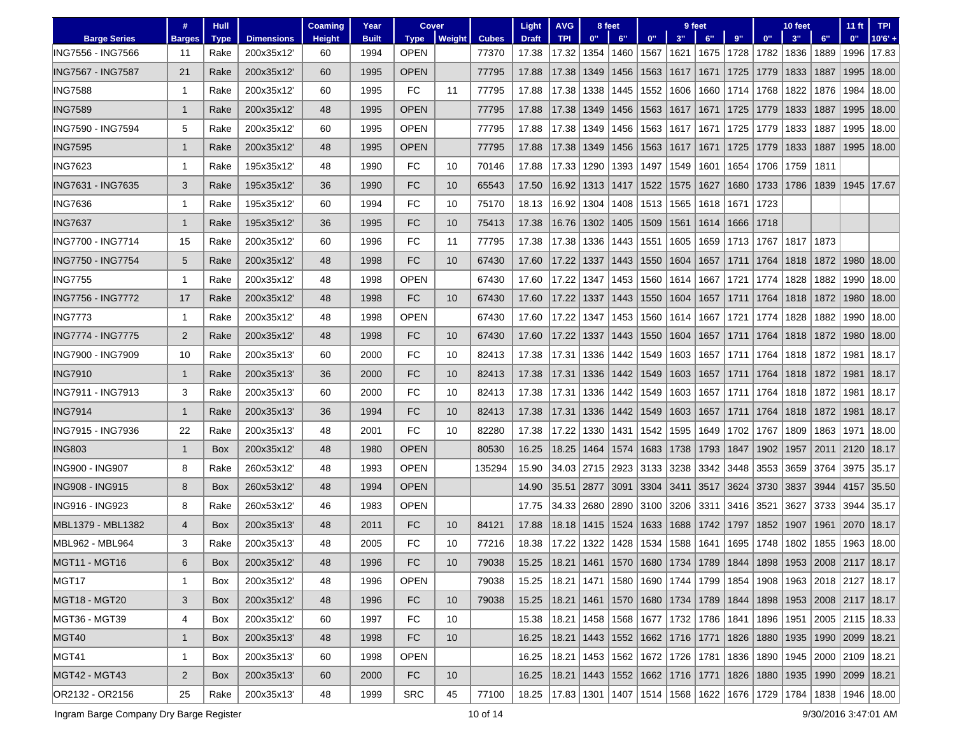|                          | #              | <b>Hull</b> |                   | <b>Coaming</b> | Year         | <b>Cover</b> |               |              | Light                                                                                       | <b>AVG</b>                               |      | 8 feet |      |      | 9 feet                                          |      |           | 10 feet |      | $11$ ft                                                                             | <b>TPI</b>                                                                                  |
|--------------------------|----------------|-------------|-------------------|----------------|--------------|--------------|---------------|--------------|---------------------------------------------------------------------------------------------|------------------------------------------|------|--------|------|------|-------------------------------------------------|------|-----------|---------|------|-------------------------------------------------------------------------------------|---------------------------------------------------------------------------------------------|
| <b>Barge Series</b>      | <b>Barges</b>  | <b>Type</b> | <b>Dimensions</b> | <b>Height</b>  | <b>Built</b> | <b>Type</b>  | <b>Weight</b> | <b>Cubes</b> | <b>Draft</b>                                                                                | <b>TPI</b>                               | 0"   | 6"     | 0"   | 3"   | 6"                                              | 9"   | 0"        | 3"      | 6"   | 0"                                                                                  | $10'6' +$                                                                                   |
| ING7556 - ING7566        | 11             | Rake        | 200x35x12         | 60             | 1994         | <b>OPEN</b>  |               | 77370        | 17.38                                                                                       | 17.32                                    | 1354 | 1460   | 1567 | 1621 | 1675                                            | 1728 | 1782      | 1836    | 1889 | 1996                                                                                | 17.83                                                                                       |
| ING7567 - ING7587        | 21             | Rake        | 200x35x12         | 60             | 1995         | <b>OPEN</b>  |               | 77795        | 17.88                                                                                       | 17.38                                    | 1349 | 1456   | 1563 | 1617 | 1671                                            | 1725 | 1779      | 1833    | 1887 | 1995                                                                                | 18.00                                                                                       |
| <b>ING7588</b>           | -1             | Rake        | 200x35x12         | 60             | 1995         | FC           | 11            | 77795        | 17.88                                                                                       | 17.38                                    | 1338 | 1445   | 1552 | 1606 | 1660                                            | 1714 | 1768      | 1822    | 1876 | 1984                                                                                | 18.00                                                                                       |
| <b>ING7589</b>           | -1             | Rake        | 200x35x12         | 48             | 1995         | <b>OPEN</b>  |               | 77795        | 17.88                                                                                       | 17.38                                    | 1349 | 1456   | 1563 | 1617 | 1671                                            | 1725 | 1779      | 1833    | 1887 | 1995                                                                                | 18.00                                                                                       |
| ING7590 - ING7594        | 5              | Rake        | 200x35x12         | 60             | 1995         | <b>OPEN</b>  |               | 77795        | 17.88                                                                                       | 17.38                                    | 1349 | 1456   | 1563 | 1617 | 1671                                            | 1725 | 1779      | 1833    | 1887 | 1995                                                                                | 18.00                                                                                       |
| <b>ING7595</b>           | -1             | Rake        | 200x35x12         | 48             | 1995         | <b>OPEN</b>  |               | 77795        | 17.88                                                                                       | 17.38                                    | 1349 | 1456   | 1563 | 1617 | 1671                                            | 1725 | 1779      | 1833    | 1887 | 1995                                                                                | 18.00                                                                                       |
| <b>ING7623</b>           | -1             | Rake        | 195x35x12         | 48             | 1990         | FC           | 10            | 70146        | 17.88                                                                                       | 17.33                                    | 1290 | 1393   | 1497 | 1549 | 1601                                            | 1654 | 1706      | 1759    | 1811 |                                                                                     |                                                                                             |
| ING7631 - ING7635        | 3              | Rake        | 195x35x12         | 36             | 1990         | FC           | 10            | 65543        | 17.50                                                                                       | 16.92                                    | 1313 | 1417   | 1522 | 1575 | 1627                                            | 1680 | 1733      | 1786    | 1839 |                                                                                     | 1945   17.67                                                                                |
| <b>ING7636</b>           | $\mathbf 1$    | Rake        | 195x35x12         | 60             | 1994         | FC           | 10            | 75170        | 18.13                                                                                       | 16.92                                    | 1304 | 1408   | 1513 | 1565 | 1618                                            | 1671 | 1723      |         |      |                                                                                     |                                                                                             |
| <b>ING7637</b>           | -1             | Rake        | 195x35x12         | 36             | 1995         | FC           | 10            | 75413        | 17.38                                                                                       | 16.76                                    | 1302 | 1405   | 1509 | 1561 | 1614                                            | 1666 | 1718      |         |      |                                                                                     |                                                                                             |
| ING7700 - ING7714        | 15             | Rake        | 200x35x12         | 60             | 1996         | FC           | 11            | 77795        | 17.38                                                                                       | 17.38                                    | 1336 | 1443   | 1551 | 1605 | 1659                                            | 1713 | 1767      | 1817    | 1873 |                                                                                     |                                                                                             |
| ING7750 - ING7754        | 5              | Rake        | 200x35x12         | 48             | 1998         | FC           | 10            | 67430        | 17.60                                                                                       | 17.22                                    | 1337 | 1443   | 1550 | 1604 | 1657                                            | 1711 | 1764      | 1818    | 1872 | 1980                                                                                | 18.00                                                                                       |
| <b>ING7755</b>           | -1             | Rake        | 200x35x12         | 48             | 1998         | <b>OPEN</b>  |               | 67430        | 17.60                                                                                       | 17.22                                    | 1347 | 1453   | 1560 | 1614 | 1667                                            | 1721 | 1774      | 1828    | 1882 | 1990                                                                                | 18.00                                                                                       |
| ING7756 - ING7772        | 17             | Rake        | 200x35x12         | 48             | 1998         | FC           | 10            | 67430        | 17.60                                                                                       | 17.22                                    | 1337 | 1443   | 1550 | 1604 | 1657                                            | 1711 | 1764      | 1818    | 1872 | 1980                                                                                | 18.00                                                                                       |
| <b>ING7773</b>           | 1              | Rake        | 200x35x12         | 48             | 1998         | <b>OPEN</b>  |               | 67430        | 17.60                                                                                       | 17.22                                    | 1347 | 1453   | 1560 | 1614 | 1667                                            | 1721 | 1774      | 1828    | 1882 | 1990                                                                                | 18.00                                                                                       |
| <b>ING7774 - ING7775</b> | 2              | Rake        | 200x35x12         | 48             | 1998         | FC           | 10            | 67430        | 17.60                                                                                       | 17.22                                    | 1337 | 1443   | 1550 | 1604 | 1657                                            | 1711 | 1764      | 1818    | 1872 | 1980                                                                                | 18.00                                                                                       |
| ING7900 - ING7909        | 10             | Rake        | 200x35x13         | 60             | 2000         | FC           | 10            | 82413        | 17.38                                                                                       | 17.31                                    | 1336 | 1442   | 1549 | 1603 | 1657                                            | 1711 | 1764      | 1818    | 1872 | 1981                                                                                | 18.17                                                                                       |
| <b>ING7910</b>           | $\mathbf{1}$   | Rake        | 200x35x13         | 36             | 2000         | FC           | 10            | 82413        | 17.38                                                                                       | 17.31                                    | 1336 | 1442   | 1549 |      | 1603   1657                                     | 1711 | 1764      | 1818    | 1872 | 1981                                                                                | 18.17                                                                                       |
| ING7911 - ING7913        | 3              | Rake        | 200x35x13         | 60             | 2000         | FC           | 10            | 82413        | 17.38                                                                                       | 17.31                                    | 1336 | 1442   | 1549 | 1603 | 1657                                            | 1711 | 1764      | 1818    | 1872 | 1981                                                                                | 18.17                                                                                       |
| <b>ING7914</b>           | -1             | Rake        | 200x35x13         | 36             | 1994         | FC           | 10            | 82413        | 17.38                                                                                       | 17.31                                    | 1336 | 1442   | 1549 | 1603 | 1657                                            | 1711 | 1764      | 1818    | 1872 | 1981                                                                                | 18.17                                                                                       |
| ING7915 - ING7936        | 22             | Rake        | 200x35x13         | 48             | 2001         | FC           | 10            | 82280        | 17.38                                                                                       | 17.22                                    | 1330 | 1431   | 1542 | 1595 | 1649                                            | 1702 | 1767      | 1809    | 1863 | 1971                                                                                | 18.00                                                                                       |
| <b>ING803</b>            | $\mathbf{1}$   | Box         | 200x35x12         | 48             | 1980         | <b>OPEN</b>  |               | 80530        | 16.25                                                                                       | 18.25                                    | 1464 | 1574   | 1683 | 1738 | 1793                                            | 1847 | 1902      | 1957    | 2011 | 2120                                                                                | 18.17                                                                                       |
| ING900 - ING907          | 8              | Rake        | 260x53x12         | 48             | 1993         | OPEN         |               | 135294       | 15.90                                                                                       | 34.03                                    | 2715 | 2923   | 3133 | 3238 | 3342                                            | 3448 | 3553      | 3659    | 3764 | 3975                                                                                | 35.17                                                                                       |
| <b>ING908 - ING915</b>   | 8              | <b>Box</b>  | 260x53x12         | 48             | 1994         | <b>OPEN</b>  |               |              | 14.90                                                                                       | 35.51                                    | 2877 | 3091   | 3304 | 3411 | 3517                                            | 3624 | 3730      | 3837    | 3944 | 4157                                                                                | 35.50                                                                                       |
| ING916 - ING923          | 8              | Rake        | 260x53x12         | 46             | 1983         | <b>OPEN</b>  |               |              | 17.75                                                                                       | 34.33                                    | 2680 | 2890   | 3100 | 3206 | 3311                                            | 3416 | 3521      | 3627    | 3733 | 3944                                                                                | 35.17                                                                                       |
| MBL1379 - MBL1382        | $\overline{4}$ | <b>Box</b>  | 200x35x13         | 48             | 2011         | FC           | 10            | 84121        | 17.88                                                                                       | 18.18                                    | 1415 | 1524   | 1633 | 1688 | 1742                                            | 1797 | 1852      | 1907    | 1961 | 2070                                                                                | 18.17                                                                                       |
| MBL962 - MBL964          | 3              | Rake        | 200x35x13         | 48             | 2005         | FC           | 10            | 77216        | 18.38                                                                                       | 17.22                                    | 1322 | 1428   | 1534 | 1588 | 1641                                            | 1695 | 1748      | 1802    | 1855 | 1963                                                                                | 18.00                                                                                       |
| MGT11 - MGT16            | 6              | Box         | 200x35x12         | 48             | 1996         | FC.          | 10            | 79038        | 15.25                                                                                       |                                          |      |        |      |      |                                                 |      |           |         |      | 18.21   1461   1570   1680   1734   1789   1844   1898   1953   2008   2117   18.17 |                                                                                             |
| MGT17                    | 1              | Box         | 200x35x12         | 48             | 1996         | <b>OPEN</b>  |               | 79038        |                                                                                             |                                          |      |        |      |      |                                                 |      |           |         |      |                                                                                     | 15.25   18.21   1471   1580   1690   1744   1799   1854   1908   1963   2018   2127   18.17 |
| <b>MGT18 - MGT20</b>     | 3              | Box         | 200x35x12         | 48             | 1996         | FC           | 10            | 79038        | 15.25   18.21   1461   1570   1680   1734   1789                                            |                                          |      |        |      |      |                                                 |      | 1844 1898 |         |      | 1953   2008   2117   18.17                                                          |                                                                                             |
| MGT36 - MGT39            | 4              | Box         | 200x35x12         | 60             | 1997         | FC           | 10            |              | 15.38                                                                                       |                                          |      |        |      |      | 18.21   1458   1568   1677   1732   1786   1841 |      | 1896      |         |      | 1951  2005   2115   18.33                                                           |                                                                                             |
| MGT40                    | $\mathbf{1}$   | Box         | 200x35x13'        | 48             | 1998         | <b>FC</b>    | 10            |              | 16.25                                                                                       | 18.21   1443   1552   1662   1716   1771 |      |        |      |      |                                                 |      |           |         |      | 1826   1880   1935   1990   2099   18.21                                            |                                                                                             |
| MGT41                    | 1              | Box         | 200x35x13'        | 60             | 1998         | <b>OPEN</b>  |               |              | 16.25                                                                                       |                                          |      |        |      |      | 18.21   1453   1562   1672   1726   1781        |      |           |         |      | 1836   1890   1945   2000   2109   18.21                                            |                                                                                             |
| <b>MGT42 - MGT43</b>     | $\overline{2}$ | Box         | 200x35x13'        | 60             | 2000         | FC           | 10            |              | 16.25   18.21   1443   1552   1662   1716   1771                                            |                                          |      |        |      |      |                                                 |      |           |         |      | 1826   1880   1935   1990   2099   18.21                                            |                                                                                             |
| OR2132 - OR2156          | 25             | Rake        | 200x35x13         | 48             | 1999         | <b>SRC</b>   | 45            | 77100        | 18.25   17.83   1301   1407   1514   1568   1622   1676   1729   1784   1838   1946   18.00 |                                          |      |        |      |      |                                                 |      |           |         |      |                                                                                     |                                                                                             |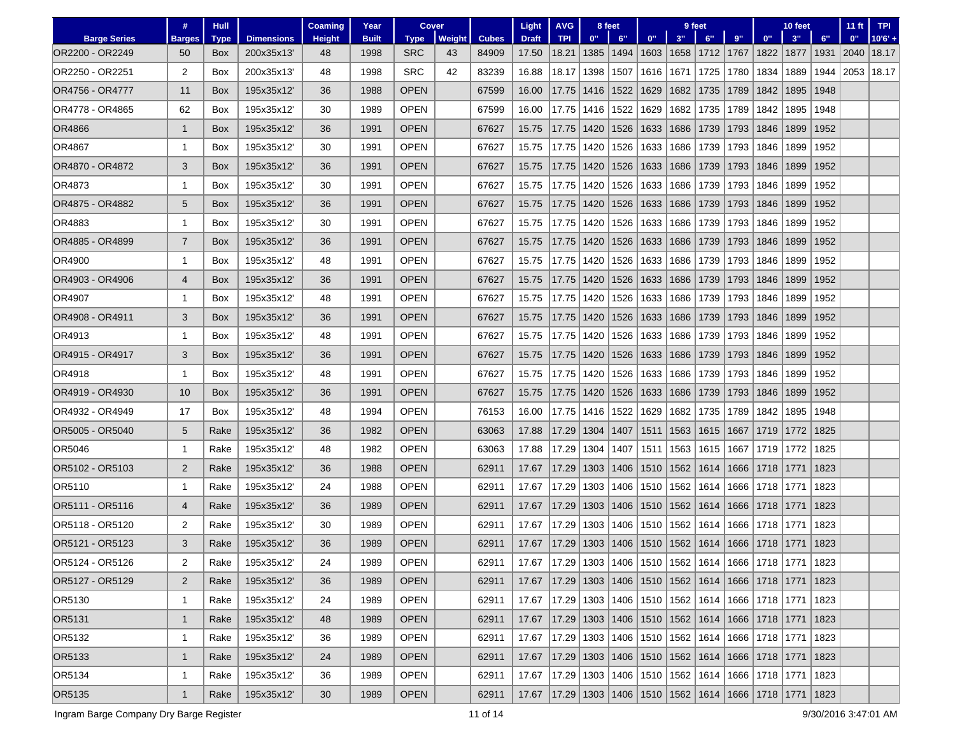|                     | #              | <b>Hull</b> |                   | <b>Coaming</b> | Year         | <b>Cover</b> |        |              | Light        | <b>AVG</b>                                                           |              | 8 feet |      |      | 9 feet                                                        |      |             | 10 feet |      | 11 <sub>ft</sub> | <b>TPI</b> |
|---------------------|----------------|-------------|-------------------|----------------|--------------|--------------|--------|--------------|--------------|----------------------------------------------------------------------|--------------|--------|------|------|---------------------------------------------------------------|------|-------------|---------|------|------------------|------------|
| <b>Barge Series</b> | <b>Barges</b>  | <b>Type</b> | <b>Dimensions</b> | <b>Height</b>  | <b>Built</b> | <b>Type</b>  | Weight | <b>Cubes</b> | <b>Draft</b> | <b>TPI</b>                                                           | 0"           | 6"     | 0"   | 3"   | 6"                                                            | 9"   | 0"          | 3"      | 6"   | 0"               | $10'6' +$  |
| OR2200 - OR2249     | 50             | <b>Box</b>  | 200x35x13         | 48             | 1998         | <b>SRC</b>   | 43     | 84909        | 17.50        | 18.21                                                                | 1385         | 1494   |      |      | 1603   1658   1712   1767                                     |      | 1822        | 1877    | 1931 | 2040             | 18.17      |
| OR2250 - OR2251     | 2              | Box         | 200x35x13         | 48             | 1998         | <b>SRC</b>   | 42     | 83239        | 16.88        | 18.17                                                                | 1398         | 1507   | 1616 | 1671 | 1725                                                          | 1780 | 1834        | 1889    | 1944 | 2053   18.17     |            |
| OR4756 - OR4777     | 11             | Box         | 195x35x12         | 36             | 1988         | <b>OPEN</b>  |        | 67599        | 16.00        | 17.75                                                                | 1416         | 1522   | 1629 | 1682 | 1735                                                          | 1789 | 1842        | 1895    | 1948 |                  |            |
| OR4778 - OR4865     | 62             | Box         | 195x35x12         | 30             | 1989         | <b>OPEN</b>  |        | 67599        | 16.00        | 17.75                                                                | 1416         | 1522   | 1629 | 1682 | 1735                                                          | 1789 | 1842        | 1895    | 1948 |                  |            |
| <b>OR4866</b>       | $\mathbf{1}$   | Box         | 195x35x12         | 36             | 1991         | <b>OPEN</b>  |        | 67627        | 15.75        | 17.75                                                                | 1420         | 1526   | 1633 | 1686 | 1739                                                          | 1793 | 1846        | 1899    | 1952 |                  |            |
| OR4867              | -1             | Box         | 195x35x12'        | 30             | 1991         | OPEN         |        | 67627        | 15.75        | 17.75                                                                | 1420         | 1526   | 1633 | 1686 | 1739                                                          | 1793 | 1846        | 1899    | 1952 |                  |            |
| OR4870 - OR4872     | 3              | Box         | 195x35x12         | 36             | 1991         | <b>OPEN</b>  |        | 67627        | 15.75        | 17.75                                                                | 1420         | 1526   | 1633 | 1686 | 1739                                                          | 1793 | 1846        | 1899    | 1952 |                  |            |
| OR4873              | -1             | Box         | 195x35x12         | 30             | 1991         | OPEN         |        | 67627        | 15.75        | 17.75                                                                | 1420         | 1526   | 1633 | 1686 | 1739                                                          | 1793 | 1846        | 1899    | 1952 |                  |            |
| OR4875 - OR4882     | 5              | Box         | 195x35x12         | 36             | 1991         | <b>OPEN</b>  |        | 67627        | 15.75        | 17.75                                                                | 1420         | 1526   | 1633 | 1686 | 1739                                                          | 1793 | 1846        | 1899    | 1952 |                  |            |
| OR4883              | 1              | Box         | 195x35x12         | 30             | 1991         | OPEN         |        | 67627        | 15.75        | 17.75                                                                | 1420         | 1526   | 1633 | 1686 | 1739                                                          | 1793 | 1846        | 1899    | 1952 |                  |            |
| OR4885 - OR4899     | $\overline{7}$ | Box         | 195x35x12         | 36             | 1991         | <b>OPEN</b>  |        | 67627        | 15.75        | 17.75                                                                | 1420         | 1526   | 1633 | 1686 | 1739                                                          | 1793 | 1846        | 1899    | 1952 |                  |            |
| OR4900              | 1              | Box         | 195x35x12'        | 48             | 1991         | OPEN         |        | 67627        | 15.75        | 17.75                                                                | 1420         | 1526   | 1633 | 1686 | 1739                                                          | 1793 | 1846        | 1899    | 1952 |                  |            |
| OR4903 - OR4906     | 4              | Box         | 195x35x12'        | 36             | 1991         | <b>OPEN</b>  |        | 67627        | 15.75        | 17.75                                                                | 1420         | 1526   | 1633 | 1686 | 1739                                                          | 1793 | 1846        | 1899    | 1952 |                  |            |
| OR4907              | -1             | Box         | 195x35x12         | 48             | 1991         | <b>OPEN</b>  |        | 67627        | 15.75        | 17.75                                                                | 1420         | 1526   | 1633 | 1686 | 1739                                                          | 1793 | 1846        | 1899    | 1952 |                  |            |
| OR4908 - OR4911     | 3              | <b>Box</b>  | 195x35x12         | 36             | 1991         | <b>OPEN</b>  |        | 67627        | 15.75        |                                                                      | 17.75   1420 | 1526   | 1633 | 1686 | 1739                                                          | 1793 | 1846        | 1899    | 1952 |                  |            |
| OR4913              | -1             | Box         | 195x35x12         | 48             | 1991         | OPEN         |        | 67627        | 15.75        | 17.75                                                                | 1420         | 1526   | 1633 | 1686 | 1739                                                          | 1793 | 1846        | 1899    | 1952 |                  |            |
| OR4915 - OR4917     | 3              | Box         | 195x35x12         | 36             | 1991         | <b>OPEN</b>  |        | 67627        | 15.75        | 17.75                                                                | 1420         | 1526   | 1633 | 1686 | 1739                                                          | 1793 | 1846        | 1899    | 1952 |                  |            |
| OR4918              | -1             | Box         | 195x35x12         | 48             | 1991         | <b>OPEN</b>  |        | 67627        | 15.75        | 17.75                                                                | 1420         | 1526   | 1633 | 1686 | 1739                                                          | 1793 | 1846        | 1899    | 1952 |                  |            |
| OR4919 - OR4930     | 10             | Box         | 195x35x12         | 36             | 1991         | <b>OPEN</b>  |        | 67627        | 15.75        | 17.75                                                                | 1420         | 1526   | 1633 | 1686 | 1739                                                          | 1793 | 1846        | 1899    | 1952 |                  |            |
| OR4932 - OR4949     | 17             | Box         | 195x35x12         | 48             | 1994         | OPEN         |        | 76153        | 16.00        | 17.75                                                                | 1416         | 1522   | 1629 | 1682 | 1735                                                          | 1789 | 1842        | 1895    | 1948 |                  |            |
| OR5005 - OR5040     | 5              | Rake        | 195x35x12         | 36             | 1982         | <b>OPEN</b>  |        | 63063        | 17.88        | 17.29                                                                | 1304         | 1407   | 1511 | 1563 | 1615                                                          | 1667 | 1719        | 1772    | 1825 |                  |            |
| OR5046              | -1             | Rake        | 195x35x12'        | 48             | 1982         | <b>OPEN</b>  |        | 63063        | 17.88        | 17.29                                                                | 1304         | 1407   | 1511 | 1563 | 1615                                                          | 1667 | 1719        | 1772    | 1825 |                  |            |
| OR5102 - OR5103     | $\overline{2}$ | Rake        | 195x35x12'        | 36             | 1988         | <b>OPEN</b>  |        | 62911        | 17.67        | 17.29                                                                | 1303         | 1406   | 1510 | 1562 | 1614                                                          | 1666 | 1718        | 1771    | 1823 |                  |            |
| OR5110              | -1             | Rake        | 195x35x12         | 24             | 1988         | OPEN         |        | 62911        | 17.67        | 17.29                                                                | 1303         | 1406   | 1510 | 1562 | 1614                                                          | 1666 | 1718        | 1771    | 1823 |                  |            |
| OR5111 - OR5116     | 4              | Rake        | 195x35x12         | 36             | 1989         | <b>OPEN</b>  |        | 62911        | 17.67        | 17.29                                                                | 1303         | 1406   | 1510 | 1562 | 1614                                                          |      | 1666 1718   | 1771    | 1823 |                  |            |
| OR5118 - OR5120     | 2              | Rake        | 195x35x12         | 30             | 1989         | OPEN         |        | 62911        | 17.67        | 17.29                                                                | 1303         | 1406   | 1510 | 1562 | 1614                                                          | 1666 | 1718        | 1771    | 1823 |                  |            |
| OR5121 - OR5123     | 3              | Rake        | 195x35x12         | 36             | 1989         | <b>OPEN</b>  |        | 62911        | 17.67        | 17.29                                                                | 1303         | 1406   | 1510 | 1562 | 1614                                                          |      | 1666   1718 | 1771    | 1823 |                  |            |
| OR5124 - OR5126     | 2              | Rake        | 195x35x12         | 24             | 1989         | <b>OPEN</b>  |        | 62911        | 17.67        | 17.29   1303   1406   1510   1562   1614   1666   1718   1771   1823 |              |        |      |      |                                                               |      |             |         |      |                  |            |
| OR5127 - OR5129     | $\overline{2}$ | Rake        | 195x35x12'        | 36             | 1989         | <b>OPEN</b>  |        | 62911        | 17.67        | 17.29   1303   1406   1510   1562   1614   1666   1718   1771   1823 |              |        |      |      |                                                               |      |             |         |      |                  |            |
| OR5130              | 1              | Rake        | 195x35x12'        | 24             | 1989         | OPEN         |        | 62911        | 17.67        |                                                                      |              |        |      |      | 17.29   1303   1406   1510   1562   1614   1666   1718   1771 |      |             |         | 1823 |                  |            |
| OR5131              | $\mathbf{1}$   | Rake        | 195x35x12'        | 48             | 1989         | <b>OPEN</b>  |        | 62911        | 17.67        |                                                                      |              |        |      |      | 17.29   1303   1406   1510   1562   1614   1666   1718   1771 |      |             |         | 1823 |                  |            |
| OR5132              | -1             | Rake        | 195x35x12'        | 36             | 1989         | <b>OPEN</b>  |        | 62911        | 17.67        | 17.29   1303   1406   1510   1562   1614   1666   1718   1771   1823 |              |        |      |      |                                                               |      |             |         |      |                  |            |
| OR5133              | $\mathbf{1}$   | Rake        | 195x35x12'        | 24             | 1989         | <b>OPEN</b>  |        | 62911        | 17.67        | 17.29   1303   1406   1510   1562   1614   1666   1718   1771   1823 |              |        |      |      |                                                               |      |             |         |      |                  |            |
| OR5134              | 1              | Rake        | 195x35x12'        | 36             | 1989         | OPEN         |        | 62911        | 17.67        | 17.29   1303   1406   1510   1562   1614   1666   1718   1771        |              |        |      |      |                                                               |      |             |         | 1823 |                  |            |
| OR5135              | $\mathbf{1}$   | Rake        | 195x35x12'        | 30             | 1989         | <b>OPEN</b>  |        | 62911        | 17.67        | 17.29   1303   1406   1510   1562   1614   1666   1718   1771        |              |        |      |      |                                                               |      |             |         | 1823 |                  |            |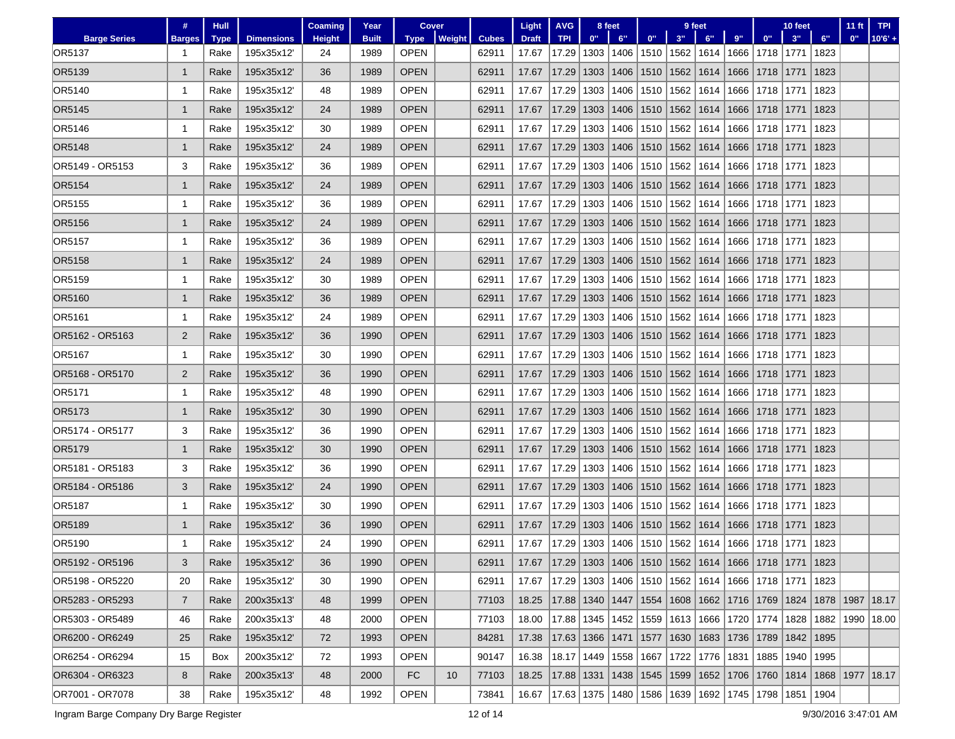|                     | #              | <b>Hull</b> |                   | <b>Coaming</b> | Year         | Cover       |        |              | Light        | <b>AVG</b>                                                           |      | 8 feet                                                        |      |      | 9 feet                    |      |                    | 10 feet     |             | 11 <sub>ft</sub>    | <b>TPI</b> |
|---------------------|----------------|-------------|-------------------|----------------|--------------|-------------|--------|--------------|--------------|----------------------------------------------------------------------|------|---------------------------------------------------------------|------|------|---------------------------|------|--------------------|-------------|-------------|---------------------|------------|
| <b>Barge Series</b> | <b>Barges</b>  | <b>Type</b> | <b>Dimensions</b> | <b>Height</b>  | <b>Built</b> | <b>Type</b> | Weight | <b>Cubes</b> | <b>Draft</b> | <b>TPI</b>                                                           | 0"   | 6"                                                            | 0"   | 3"   | 6"                        | 9"   | 0 <sup>11</sup>    | 3"          | 6"          | 0"                  | $10'6' +$  |
| OR5137              | 1              | Rake        | 195x35x12         | 24             | 1989         | <b>OPEN</b> |        | 62911        | 17.67        | 17.29                                                                | 1303 | 1406                                                          | 1510 | 1562 | 1614                      |      | 1666   1718        | 1771        | 1823        |                     |            |
| OR5139              | $\mathbf 1$    | Rake        | 195x35x12         | 36             | 1989         | <b>OPEN</b> |        | 62911        | 17.67        | 17.29                                                                | 1303 | 1406                                                          | 1510 | 1562 | 1614                      | 1666 | 1718               | 1771        | 1823        |                     |            |
| OR5140              | -1             | Rake        | 195x35x12         | 48             | 1989         | <b>OPEN</b> |        | 62911        | 17.67        | 17.29                                                                | 1303 | 1406                                                          | 1510 | 1562 | 1614                      | 1666 | 1718               | 1771        | 1823        |                     |            |
| OR5145              | 1              | Rake        | 195x35x12         | 24             | 1989         | <b>OPEN</b> |        | 62911        | 17.67        | 17.29                                                                | 1303 | 1406                                                          | 1510 | 1562 | 1614                      |      | 1666   1718        | 1771        | 1823        |                     |            |
| OR5146              | 1              | Rake        | 195x35x12         | 30             | 1989         | OPEN        |        | 62911        | 17.67        | 17.29                                                                | 1303 | 1406                                                          | 1510 | 1562 | 1614                      | 1666 | 1718               | 1771        | 1823        |                     |            |
| OR5148              | $\mathbf 1$    | Rake        | 195x35x12         | 24             | 1989         | <b>OPEN</b> |        | 62911        | 17.67        | 17.29                                                                | 1303 | 1406                                                          | 1510 | 1562 | 1614                      |      | 1666 1718          | 1771        | 1823        |                     |            |
| OR5149 - OR5153     | 3              | Rake        | 195x35x12         | 36             | 1989         | <b>OPEN</b> |        | 62911        | 17.67        | 17.29                                                                | 1303 | 1406                                                          | 1510 | 1562 | 1614                      | 1666 | 1718               | 1771        | 1823        |                     |            |
| OR5154              | $\mathbf 1$    | Rake        | 195x35x12'        | 24             | 1989         | <b>OPEN</b> |        | 62911        | 17.67        | 17.29                                                                | 1303 | 1406                                                          | 1510 | 1562 | 1614                      |      | 1666 1718          | 1771        | 1823        |                     |            |
| OR5155              | 1              | Rake        | 195x35x12         | 36             | 1989         | OPEN        |        | 62911        | 17.67        | 17.29                                                                | 1303 | 1406                                                          | 1510 | 1562 | 1614                      | 1666 | 1718               | 1771        | 1823        |                     |            |
| OR5156              | 1              | Rake        | 195x35x12         | 24             | 1989         | <b>OPEN</b> |        | 62911        | 17.67        | 17.29                                                                | 1303 | 1406                                                          | 1510 | 1562 | 1614                      |      | 1666 1718          | 1771        | 1823        |                     |            |
| OR5157              | 1              | Rake        | 195x35x12         | 36             | 1989         | <b>OPEN</b> |        | 62911        | 17.67        | 17.29                                                                | 1303 | 1406                                                          | 1510 | 1562 | 1614                      | 1666 | 1718               | 1771        | 1823        |                     |            |
| OR5158              | $\mathbf 1$    | Rake        | 195x35x12         | 24             | 1989         | <b>OPEN</b> |        | 62911        | 17.67        | 17.29                                                                | 1303 | 1406                                                          | 1510 | 1562 | 1614                      | 1666 | 1718               | 1771        | 1823        |                     |            |
| OR5159              | 1              | Rake        | 195x35x12         | 30             | 1989         | <b>OPEN</b> |        | 62911        | 17.67        | 17.29                                                                | 1303 | 1406                                                          | 1510 | 1562 | 1614                      |      | 1666 1718          | 1771        | 1823        |                     |            |
| OR5160              | $\mathbf{1}$   | Rake        | 195x35x12         | 36             | 1989         | <b>OPEN</b> |        | 62911        | 17.67        | 17.29                                                                | 1303 | 1406                                                          | 1510 | 1562 | 1614                      |      | 1666   1718        | 1771        | 1823        |                     |            |
| OR5161              | 1              | Rake        | 195x35x12         | 24             | 1989         | <b>OPEN</b> |        | 62911        | 17.67        | 17.29                                                                | 1303 | 1406                                                          | 1510 | 1562 | 1614                      | 1666 | 1718               | 1771        | 1823        |                     |            |
| OR5162 - OR5163     | 2              | Rake        | 195x35x12         | 36             | 1990         | <b>OPEN</b> |        | 62911        | 17.67        | 17.29                                                                | 1303 | 1406                                                          | 1510 | 1562 | 1614                      |      | 1666   1718        | 1771        | 1823        |                     |            |
| OR5167              | $\mathbf 1$    | Rake        | 195x35x12'        | 30             | 1990         | <b>OPEN</b> |        | 62911        | 17.67        | 17.29                                                                | 1303 | 1406                                                          | 1510 | 1562 | 1614                      | 1666 | 1718               | 1771        | 1823        |                     |            |
| OR5168 - OR5170     | 2              | Rake        | 195x35x12         | 36             | 1990         | <b>OPEN</b> |        | 62911        | 17.67        | 17.29                                                                | 1303 | 1406                                                          | 1510 | 1562 | 1614                      |      | 1666   1718        | 1771        | 1823        |                     |            |
| OR5171              | 1              | Rake        | 195x35x12         | 48             | 1990         | OPEN        |        | 62911        | 17.67        | 17.29                                                                | 1303 | 1406                                                          | 1510 | 1562 | 1614                      | 1666 | 1718               | 1771        | 1823        |                     |            |
| OR5173              | 1              | Rake        | 195x35x12         | 30             | 1990         | <b>OPEN</b> |        | 62911        | 17.67        | 17.29                                                                | 1303 | 1406                                                          | 1510 | 1562 | 1614                      |      | 1666 1718          | 1771        | 1823        |                     |            |
| OR5174 - OR5177     | 3              | Rake        | 195x35x12         | 36             | 1990         | <b>OPEN</b> |        | 62911        | 17.67        | 17.29                                                                | 1303 | 1406                                                          | 1510 | 1562 | 1614                      | 1666 | 1718               | 1771        | 1823        |                     |            |
| OR5179              | $\mathbf{1}$   | Rake        | 195x35x12         | 30             | 1990         | <b>OPEN</b> |        | 62911        | 17.67        | 17.29                                                                | 1303 | 1406                                                          | 1510 | 1562 | 1614                      | 1666 | 1718               | 1771        | 1823        |                     |            |
| OR5181 - OR5183     | 3              | Rake        | 195x35x12         | 36             | 1990         | OPEN        |        | 62911        | 17.67        | 17.29                                                                | 1303 | 1406                                                          | 1510 | 1562 | 1614                      | 1666 | 1718               | 1771        | 1823        |                     |            |
| OR5184 - OR5186     | 3              | Rake        | 195x35x12         | 24             | 1990         | <b>OPEN</b> |        | 62911        | 17.67        | 17.29                                                                | 1303 | 1406                                                          | 1510 | 1562 | 1614                      |      | 1666 1718          | 1771        | 1823        |                     |            |
| OR5187              | 1              | Rake        | 195x35x12         | 30             | 1990         | <b>OPEN</b> |        | 62911        | 17.67        | 17.29                                                                | 1303 | 1406                                                          | 1510 | 1562 | 1614                      | 1666 | 1718               | 1771        | 1823        |                     |            |
| OR5189              | $\mathbf 1$    | Rake        | 195x35x12         | 36             | 1990         | <b>OPEN</b> |        | 62911        | 17.67        | 17.29                                                                | 1303 | 1406                                                          | 1510 | 1562 | 1614                      |      | 1666 1718          | 1771        | 1823        |                     |            |
| OR5190              | 1              | Rake        | 195x35x12         | 24             | 1990         | <b>OPEN</b> |        | 62911        | 17.67        | 17.29                                                                | 1303 | 1406                                                          | 1510 | 1562 | 1614                      |      | 1666   1718   1771 |             | 1823        |                     |            |
| OR5192 - OR5196     | 3              | Rake        | 195x35x12         | 36             | 1990         | <b>OPEN</b> |        | 62911        | 17.67        | 17.29   1303   1406   1510   1562   1614   1666   1718   1771   1823 |      |                                                               |      |      |                           |      |                    |             |             |                     |            |
| OR5198 - OR5220     | 20             | Rake        | 195x35x12'        | 30             | 1990         | OPEN        |        | 62911        | 17.67        | 17.29   1303   1406   1510   1562   1614   1666   1718   1771   1823 |      |                                                               |      |      |                           |      |                    |             |             |                     |            |
| OR5283 - OR5293     | $\overline{7}$ | Rake        | 200x35x13'        | 48             | 1999         | <b>OPEN</b> |        | 77103        | 18.25        |                                                                      |      | 17.88   1340   1447   1554   1608   1662   1716   1769        |      |      |                           |      |                    | 1824        |             | 1878   1987   18.17 |            |
| OR5303 - OR5489     | 46             | Rake        | 200x35x13'        | 48             | 2000         | OPEN        |        | 77103        | 18.00        |                                                                      |      | 17.88   1345   1452   1559   1613   1666   1720   1774        |      |      |                           |      |                    |             | 1828   1882 | 1990   18.00        |            |
| OR6200 - OR6249     | 25             | Rake        | 195x35x12'        | 72             | 1993         | <b>OPEN</b> |        | 84281        | 17.38        | 17.63 1366 1471 1577                                                 |      |                                                               |      |      | 1630   1683   1736   1789 |      |                    | 1842   1895 |             |                     |            |
| OR6254 - OR6294     | 15             | Box         | 200x35x12         | 72             | 1993         | OPEN        |        | 90147        | 16.38        |                                                                      |      | 18.17   1449   1558   1667   1722   1776   1831   1885        |      |      |                           |      |                    | 1940   1995 |             |                     |            |
| OR6304 - OR6323     | 8              | Rake        | 200x35x13'        | 48             | 2000         | FC          | 10     | 77103        | 18.25        |                                                                      |      | 17.88   1331   1438   1545   1599   1652   1706   1760   1814 |      |      |                           |      |                    |             |             | 1868   1977   18.17 |            |
| OR7001 - OR7078     | 38             | Rake        | 195x35x12'        | 48             | 1992         | <b>OPEN</b> |        | 73841        | 16.67        | 17.63   1375   1480   1586   1639   1692   1745   1798   1851   1904 |      |                                                               |      |      |                           |      |                    |             |             |                     |            |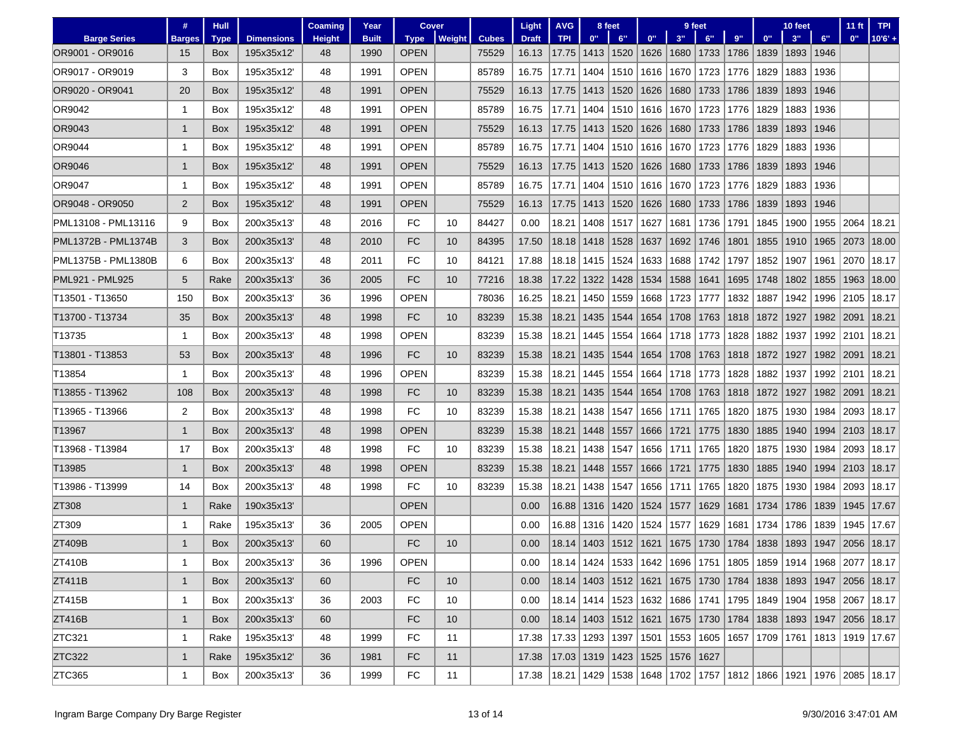|                     | #              | <b>Hull</b> |                   | <b>Coaming</b> | Year         | Cover       |        |              | Light                                                                                       | <b>AVG</b>                               | 8 feet |                            | 9 feet |      |             |      | 10 feet |      |      | 11 <sub>ft</sub>                                              | <b>TPI</b>                                                                          |
|---------------------|----------------|-------------|-------------------|----------------|--------------|-------------|--------|--------------|---------------------------------------------------------------------------------------------|------------------------------------------|--------|----------------------------|--------|------|-------------|------|---------|------|------|---------------------------------------------------------------|-------------------------------------------------------------------------------------|
| <b>Barge Series</b> | <b>Barges</b>  | <b>Type</b> | <b>Dimensions</b> | <b>Height</b>  | <b>Built</b> | <b>Type</b> | Weight | <b>Cubes</b> | <b>Draft</b>                                                                                | <b>TPI</b>                               | 0"     | 6"                         | 0"     | 3"   | 6"          | 9"   | 0"      | 3"   | 6"   | 0"                                                            | $10'6' +$                                                                           |
| OR9001 - OR9016     | 15             | <b>Box</b>  | 195x35x12         | 48             | 1990         | <b>OPEN</b> |        | 75529        | 16.13                                                                                       | 17.75                                    | 1413   | 1520                       | 1626   |      | 1680 1733   | 1786 | 1839    | 1893 | 1946 |                                                               |                                                                                     |
| OR9017 - OR9019     | 3              | Box         | 195x35x12         | 48             | 1991         | <b>OPEN</b> |        | 85789        | 16.75                                                                                       | 17.71                                    | 1404   | 1510                       | 1616   | 1670 | 1723        | 1776 | 1829    | 1883 | 1936 |                                                               |                                                                                     |
| OR9020 - OR9041     | 20             | <b>Box</b>  | 195x35x12         | 48             | 1991         | <b>OPEN</b> |        | 75529        | 16.13                                                                                       | 17.75                                    | 1413   | 1520                       | 1626   | 1680 | 1733        | 1786 | 1839    | 1893 | 1946 |                                                               |                                                                                     |
| OR9042              | 1              | Box         | 195x35x12         | 48             | 1991         | <b>OPEN</b> |        | 85789        | 16.75                                                                                       | 17.71                                    | 1404   | 1510                       | 1616   | 1670 | 1723        | 1776 | 1829    | 1883 | 1936 |                                                               |                                                                                     |
| OR9043              | $\mathbf{1}$   | <b>Box</b>  | 195x35x12         | 48             | 1991         | <b>OPEN</b> |        | 75529        | 16.13                                                                                       | 17.75                                    | 1413   | 1520                       | 1626   |      | 1680   1733 | 1786 | 1839    | 1893 | 1946 |                                                               |                                                                                     |
| OR9044              | $\mathbf 1$    | <b>Box</b>  | 195x35x12         | 48             | 1991         | <b>OPEN</b> |        | 85789        | 16.75                                                                                       | 17.71                                    | 1404   | 1510                       | 1616   | 1670 | 1723        | 1776 | 1829    | 1883 | 1936 |                                                               |                                                                                     |
| OR9046              | $\mathbf{1}$   | Box         | 195x35x12         | 48             | 1991         | <b>OPEN</b> |        | 75529        | 16.13                                                                                       | 17.75                                    | 1413   | 1520                       | 1626   | 1680 | 1733        | 1786 | 1839    | 1893 | 1946 |                                                               |                                                                                     |
| OR9047              | $\mathbf 1$    | <b>Box</b>  | 195x35x12         | 48             | 1991         | <b>OPEN</b> |        | 85789        | 16.75                                                                                       | 17.71                                    | 1404   | 1510                       | 1616   |      | 1670   1723 | 1776 | 1829    | 1883 | 1936 |                                                               |                                                                                     |
| OR9048 - OR9050     | $\overline{2}$ | Box         | 195x35x12         | 48             | 1991         | <b>OPEN</b> |        | 75529        | 16.13                                                                                       | 17.75                                    | 1413   | 1520                       | 1626   | 1680 | 1733        | 1786 | 1839    | 1893 | 1946 |                                                               |                                                                                     |
| PML13108 - PML13116 | 9              | <b>Box</b>  | 200x35x13         | 48             | 2016         | FC          | 10     | 84427        | 0.00                                                                                        | 18.21                                    | 1408   | 1517                       | 1627   | 1681 | 1736        | 1791 | 1845    | 1900 | 1955 | 2064                                                          | 18.21                                                                               |
| PML1372B - PML1374B | 3              | Box         | 200x35x13         | 48             | 2010         | FC          | 10     | 84395        | 17.50                                                                                       | 18.18                                    | 1418   | 1528                       | 1637   | 1692 | 1746        | 1801 | 1855    | 1910 | 1965 | 2073                                                          | 18.00                                                                               |
| PML1375B - PML1380B | 6              | <b>Box</b>  | 200x35x13         | 48             | 2011         | FC          | 10     | 84121        | 17.88                                                                                       | 18.18                                    | 1415   | 1524                       | 1633   | 1688 | 1742        | 1797 | 1852    | 1907 | 1961 | 2070                                                          | 18.17                                                                               |
| PML921 - PML925     | 5              | Rake        | 200x35x13         | 36             | 2005         | <b>FC</b>   | 10     | 77216        | 18.38                                                                                       | 17.22                                    | 1322   | 1428                       | 1534   | 1588 | 1641        | 1695 | 1748    | 1802 | 1855 | 1963                                                          | 18.00                                                                               |
| T13501 - T13650     | 150            | Box         | 200x35x13         | 36             | 1996         | <b>OPEN</b> |        | 78036        | 16.25                                                                                       | 18.21                                    | 1450   | 1559                       | 1668   | 1723 | 1777        | 1832 | 1887    | 1942 | 1996 | 2105                                                          | 18.17                                                                               |
| T13700 - T13734     | 35             | <b>Box</b>  | 200x35x13         | 48             | 1998         | <b>FC</b>   | 10     | 83239        | 15.38                                                                                       | 18.21                                    | 1435   | 1544                       | 1654   |      | 1708 1763   | 1818 | 1872    | 1927 | 1982 | 2091                                                          | 18.21                                                                               |
| T13735              | $\mathbf 1$    | Box         | 200x35x13         | 48             | 1998         | <b>OPEN</b> |        | 83239        | 15.38                                                                                       | 18.21                                    | 1445   | 1554                       | 1664   |      | 1718   1773 | 1828 | 1882    | 1937 | 1992 | 2101                                                          | 18.21                                                                               |
| T13801 - T13853     | 53             | <b>Box</b>  | 200x35x13         | 48             | 1996         | FC          | 10     | 83239        | 15.38                                                                                       | 18.21                                    | 1435   | 1544                       | 1654   | 1708 | 1763        | 1818 | 1872    | 1927 | 1982 | 2091                                                          | 18.21                                                                               |
| T13854              | 1              | Box         | 200x35x13         | 48             | 1996         | <b>OPEN</b> |        | 83239        | 15.38                                                                                       | 18.21                                    | 1445   | 1554                       | 1664   |      | 1718   1773 | 1828 | 1882    | 1937 | 1992 | 2101                                                          | 18.21                                                                               |
| T13855 - T13962     | 108            | <b>Box</b>  | 200x35x13         | 48             | 1998         | FC          | 10     | 83239        | 15.38                                                                                       | 18.21                                    | 1435   | 1544                       | 1654   |      | 1708 1763   | 1818 | 1872    | 1927 | 1982 | 2091                                                          | 18.21                                                                               |
| T13965 - T13966     | 2              | <b>Box</b>  | 200x35x13'        | 48             | 1998         | FC          | 10     | 83239        | 15.38                                                                                       | 18.21                                    | 1438   | 1547                       | 1656   | 1711 | 1765        | 1820 | 1875    | 1930 | 1984 | 2093                                                          | 18.17                                                                               |
| T13967              | $\mathbf{1}$   | Box         | 200x35x13         | 48             | 1998         | <b>OPEN</b> |        | 83239        | 15.38                                                                                       | 18.21                                    | 1448   | 1557                       | 1666   | 1721 | 1775        | 1830 | 1885    | 1940 | 1994 | 2103   18.17                                                  |                                                                                     |
| T13968 - T13984     | 17             | <b>Box</b>  | 200x35x13         | 48             | 1998         | FC          | 10     | 83239        | 15.38                                                                                       | 18.21                                    | 1438   | 1547                       | 1656   | 1711 | 1765        | 1820 | 1875    | 1930 | 1984 | 2093                                                          | 18.17                                                                               |
| T13985              | $\mathbf{1}$   | Box         | 200x35x13         | 48             | 1998         | <b>OPEN</b> |        | 83239        | 15.38                                                                                       | 18.21                                    | 1448   | 1557                       | 1666   | 1721 | 1775        | 1830 | 1885    | 1940 | 1994 | 2103                                                          | 18.17                                                                               |
| T13986 - T13999     | 14             | Box         | 200x35x13         | 48             | 1998         | FC          | 10     | 83239        | 15.38                                                                                       | 18.21                                    | 1438   | 1547                       | 1656   | 1711 | 1765        | 1820 | 1875    | 1930 | 1984 | 2093                                                          | 18.17                                                                               |
| ZT308               | $\mathbf{1}$   | Rake        | 190x35x13'        |                |              | <b>OPEN</b> |        |              | 0.00                                                                                        | 16.88                                    | 1316   | 1420                       | 1524   | 1577 | 1629        | 1681 | 1734    | 1786 | 1839 | 1945                                                          | 17.67                                                                               |
| ZT309               | -1             | Rake        | 195x35x13'        | 36             | 2005         | <b>OPEN</b> |        |              | 0.00                                                                                        | 16.88                                    | 1316   | 1420                       | 1524   | 1577 | 1629        | 1681 | 1734    | 1786 | 1839 | 1945                                                          | 17.67                                                                               |
| ZT409B              | $\mathbf{1}$   | <b>Box</b>  | 200x35x13         | 60             |              | FC          | 10     |              | 0.00                                                                                        | 18.14                                    | 1403   | 1512                       | 1621   |      | 1675 1730   | 1784 | 1838    | 1893 | 1947 | 2056                                                          | 18.17                                                                               |
| ZT410B              |                | Box         | 200x35x13         | 36             | 1996         | OPEN        |        |              | 0.00                                                                                        |                                          |        |                            |        |      |             |      |         |      |      |                                                               | 18.14   1424   1533   1642   1696   1751   1805   1859   1914   1968   2077   18.17 |
| ZT411B              | $\mathbf{1}$   | Box         | 200x35x13'        | 60             |              | FC          | 10     |              | 0.00                                                                                        |                                          |        |                            |        |      |             |      |         |      |      | 18.14 1403 1512 1621 1675 1730 1784 1838 1893 1947 2056 18.17 |                                                                                     |
| ZT415B              | 1              | Box         | 200x35x13'        | 36             | 2003         | FC          | 10     |              | 0.00                                                                                        |                                          |        |                            |        |      |             |      |         |      |      |                                                               | 18.14   1414   1523   1632   1686   1741   1795   1849   1904   1958   2067   18.17 |
| ZT416B              | $\mathbf{1}$   | Box         | 200x35x13'        | 60             |              | FC          | 10     |              | 0.00                                                                                        |                                          |        | 18.14   1403   1512   1621 |        |      |             |      |         |      |      | 1675   1730   1784   1838   1893   1947   2056   18.17        |                                                                                     |
| ZTC321              | 1              | Rake        | 195x35x13'        | 48             | 1999         | <b>FC</b>   | 11     |              | 17.38                                                                                       |                                          |        | 17.33 1293 1397 1501       |        |      |             |      |         |      |      | 1553   1605   1657   1709   1761   1813   1919   17.67        |                                                                                     |
| ZTC322              | $\mathbf{1}$   | Rake        | 195x35x12'        | 36             | 1981         | FC          | 11     |              | 17.38                                                                                       | 17.03   1319   1423   1525   1576   1627 |        |                            |        |      |             |      |         |      |      |                                                               |                                                                                     |
| ZTC365              | 1              | Box         | 200x35x13'        | 36             | 1999         | <b>FC</b>   | 11     |              | 17.38   18.21   1429   1538   1648   1702   1757   1812   1866   1921   1976   2085   18.17 |                                          |        |                            |        |      |             |      |         |      |      |                                                               |                                                                                     |